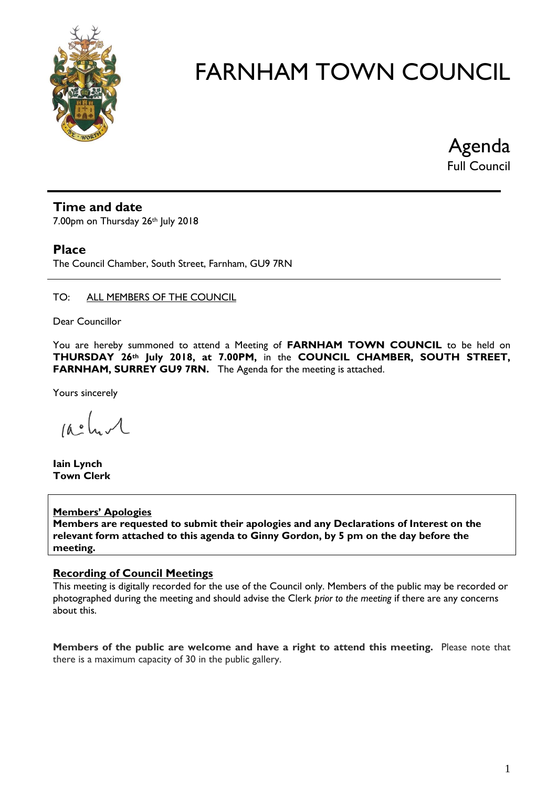

Agenda Full Council

#### **Time and date**

7.00pm on Thursday 26th July 2018

#### **Place**

The Council Chamber, South Street, Farnham, GU9 7RN

#### TO: ALL MEMBERS OF THE COUNCIL

Dear Councillor

You are hereby summoned to attend a Meeting of **FARNHAM TOWN COUNCIL** to be held on **THURSDAY 26th July 2018, at 7.00PM,** in the **COUNCIL CHAMBER, SOUTH STREET, FARNHAM, SURREY GU9 7RN.** The Agenda for the meeting is attached.

Yours sincerely

 $10.0$ 

**Iain Lynch Town Clerk**

#### **Members' Apologies**

**Members are requested to submit their apologies and any Declarations of Interest on the relevant form attached to this agenda to Ginny Gordon, by 5 pm on the day before the meeting.**

#### **Recording of Council Meetings**

This meeting is digitally recorded for the use of the Council only. Members of the public may be recorded or photographed during the meeting and should advise the Clerk *prior to the meeting* if there are any concerns about this.

**Members of the public are welcome and have a right to attend this meeting.** Please note that there is a maximum capacity of 30 in the public gallery.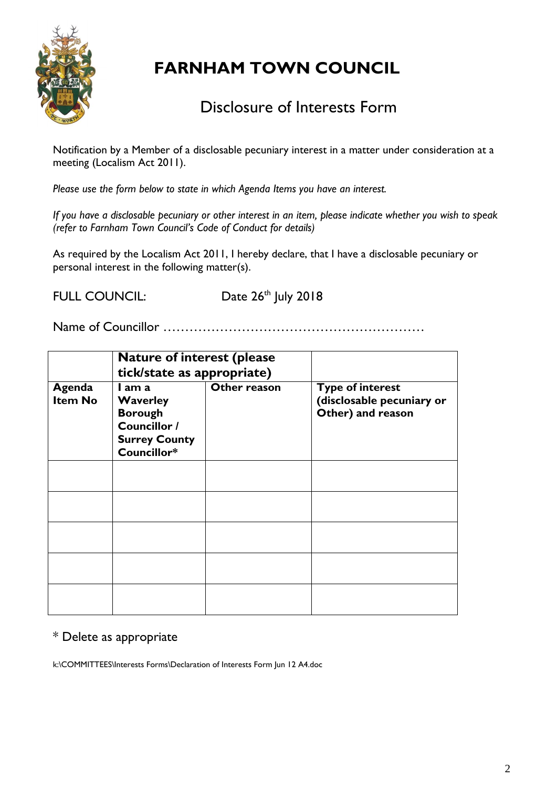

### Disclosure of Interests Form

Notification by a Member of a disclosable pecuniary interest in a matter under consideration at a meeting (Localism Act 2011).

*Please use the form below to state in which Agenda Items you have an interest.* 

*If you have a disclosable pecuniary or other interest in an item, please indicate whether you wish to speak (refer to Farnham Town Council's Code of Conduct for details)*

As required by the Localism Act 2011, I hereby declare, that I have a disclosable pecuniary or personal interest in the following matter(s).

FULL COUNCIL: Date 26<sup>th</sup> July 2018

Name of Councillor ……………………………………………………

|                          | <b>Nature of interest (please</b><br>tick/state as appropriate)                                    |              |                                                                           |
|--------------------------|----------------------------------------------------------------------------------------------------|--------------|---------------------------------------------------------------------------|
| Agenda<br><b>Item No</b> | I am a<br><b>Waverley</b><br><b>Borough</b><br>Councillor /<br><b>Surrey County</b><br>Councillor* | Other reason | <b>Type of interest</b><br>(disclosable pecuniary or<br>Other) and reason |
|                          |                                                                                                    |              |                                                                           |
|                          |                                                                                                    |              |                                                                           |
|                          |                                                                                                    |              |                                                                           |
|                          |                                                                                                    |              |                                                                           |
|                          |                                                                                                    |              |                                                                           |

### \* Delete as appropriate

k:\COMMITTEES\Interests Forms\Declaration of Interests Form Jun 12 A4.doc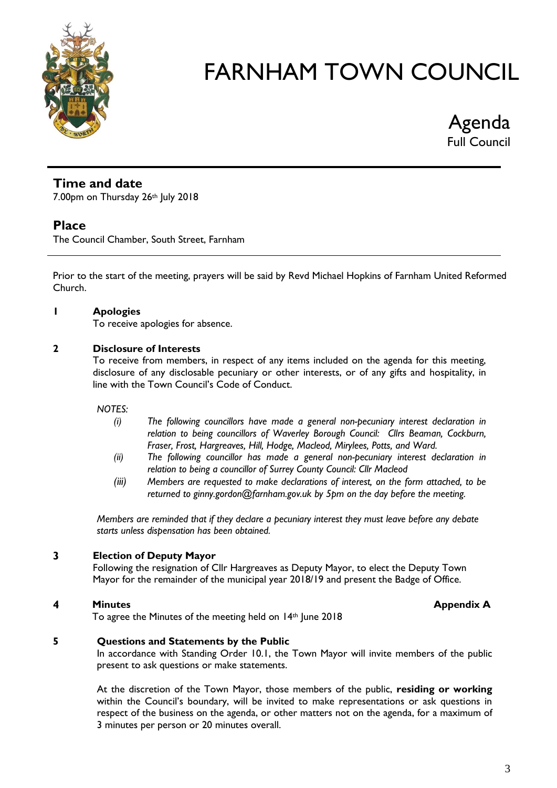

Agenda Full Council

#### **Time and date**

7.00pm on Thursday 26th July 2018

#### **Place**

The Council Chamber, South Street, Farnham

Prior to the start of the meeting, prayers will be said by Revd Michael Hopkins of Farnham United Reformed Church.

#### **1 Apologies**

To receive apologies for absence.

#### **2 Disclosure of Interests**

To receive from members, in respect of any items included on the agenda for this meeting, disclosure of any disclosable pecuniary or other interests, or of any gifts and hospitality, in line with the Town Council's Code of Conduct.

#### *NOTES:*

- *(i) The following councillors have made a general non-pecuniary interest declaration in relation to being councillors of Waverley Borough Council: Cllrs Beaman, Cockburn, Fraser, Frost, Hargreaves, Hill, Hodge, Macleod, Mirylees, Potts, and Ward.*
- *(ii) The following councillor has made a general non-pecuniary interest declaration in relation to being a councillor of Surrey County Council: Cllr Macleod*
- *(iii) Members are requested to make declarations of interest, on the form attached, to be returned to ginny.gordon@farnham.gov.uk by 5pm on the day before the meeting.*

*Members are reminded that if they declare a pecuniary interest they must leave before any debate starts unless dispensation has been obtained.*

#### **3 Election of Deputy Mayor**

Following the resignation of Cllr Hargreaves as Deputy Mayor, to elect the Deputy Town Mayor for the remainder of the municipal year 2018/19 and present the Badge of Office.

#### **4 Minutes Minutes Minutes Appendix A**

To agree the Minutes of the meeting held on 14th June 2018

#### **5 Questions and Statements by the Public**

In accordance with Standing Order 10.1, the Town Mayor will invite members of the public present to ask questions or make statements.

At the discretion of the Town Mayor, those members of the public, **residing or working** within the Council's boundary, will be invited to make representations or ask questions in respect of the business on the agenda, or other matters not on the agenda, for a maximum of 3 minutes per person or 20 minutes overall.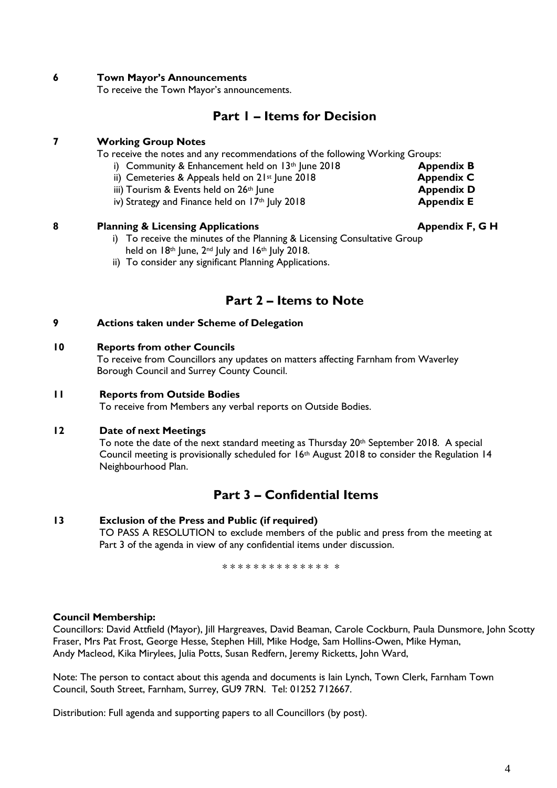#### **6 Town Mayor's Announcements**

To receive the Town Mayor's announcements.

#### **Part 1 – Items for Decision**

#### **7 Working Group Notes**

To receive the notes and any recommendations of the following Working Groups:

- i) Community & Enhancement held on 13<sup>th</sup> June 2018 **Appendix B**
- ii) Cemeteries & Appeals held on 2<sup>1st</sup> June 2018 **Appendix C**
- 
- iii) Tourism & Events held on 26<sup>th</sup> June<br>
iv) Strategy and Finance held on 17<sup>th</sup> July 2018<br> **Appendix E** iv) Strategy and Finance held on 17<sup>th</sup> July 2018

#### **8 Planning & Licensing Applications Applications Appendix F, G H**

- i) To receive the minutes of the Planning & Licensing Consultative Group held on 18th June, 2<sup>nd</sup> July and 16th July 2018.
- ii) To consider any significant Planning Applications.

#### **Part 2 – Items to Note**

#### **9 Actions taken under Scheme of Delegation**

#### **10 Reports from other Councils**

To receive from Councillors any updates on matters affecting Farnham from Waverley Borough Council and Surrey County Council.

#### **11 Reports from Outside Bodies**

To receive from Members any verbal reports on Outside Bodies.

#### **12 Date of next Meetings**

To note the date of the next standard meeting as Thursday 20th September 2018. A special Council meeting is provisionally scheduled for 16th August 2018 to consider the Regulation 14 Neighbourhood Plan.

#### **Part 3 – Confidential Items**

#### **13 Exclusion of the Press and Public (if required)**

TO PASS A RESOLUTION to exclude members of the public and press from the meeting at Part 3 of the agenda in view of any confidential items under discussion.

\* \* \* \* \* \* \* \* \* \* \* \* \* \* \*

#### **Council Membership:**

Councillors: David Attfield (Mayor), Jill Hargreaves, David Beaman, Carole Cockburn, Paula Dunsmore, John Scotty Fraser, Mrs Pat Frost, George Hesse, Stephen Hill, Mike Hodge, Sam Hollins-Owen, Mike Hyman, Andy Macleod, Kika Mirylees, Julia Potts, Susan Redfern, Jeremy Ricketts, John Ward,

Note: The person to contact about this agenda and documents is Iain Lynch, Town Clerk, Farnham Town Council, South Street, Farnham, Surrey, GU9 7RN. Tel: 01252 712667.

Distribution: Full agenda and supporting papers to all Councillors (by post).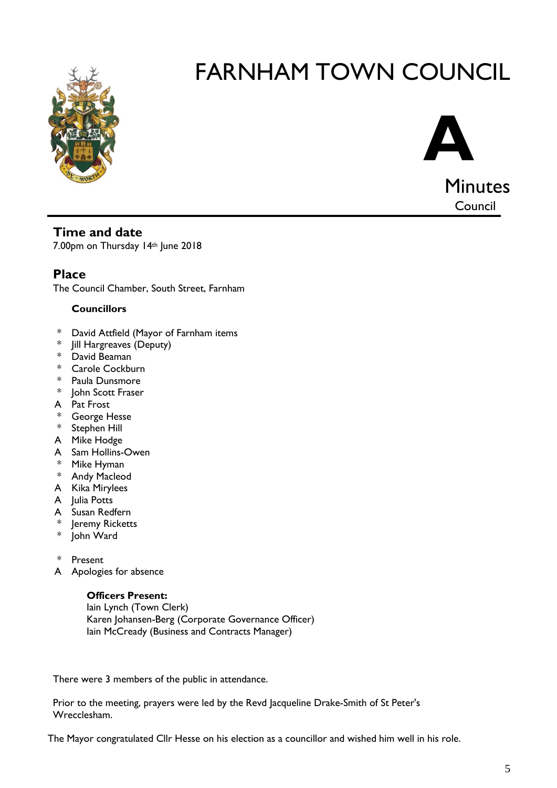



#### **Time and date**

7.00pm on Thursday 14th June 2018

### **Place**

The Council Chamber, South Street, Farnham

#### **Councillors**

- \* David Attfield (Mayor of Farnham items
- \* Jill Hargreaves (Deputy)
- \* David Beaman
- \* Carole Cockburn
- \* Paula Dunsmore
- \* John Scott Fraser
- A Pat Frost
- \* George Hesse
- \* Stephen Hill
- A Mike Hodge
- A Sam Hollins-Owen
- \* Mike Hyman
- \* Andy Macleod
- A Kika Mirylees
- A Julia Potts
- A Susan Redfern
- \* Jeremy Ricketts
- \* John Ward
- \* Present
- A Apologies for absence

#### **Officers Present:**

Iain Lynch (Town Clerk) Karen Johansen-Berg (Corporate Governance Officer) Iain McCready (Business and Contracts Manager)

There were 3 members of the public in attendance.

Prior to the meeting, prayers were led by the Revd Jacqueline Drake-Smith of St Peter's Wrecclesham.

The Mayor congratulated Cllr Hesse on his election as a councillor and wished him well in his role.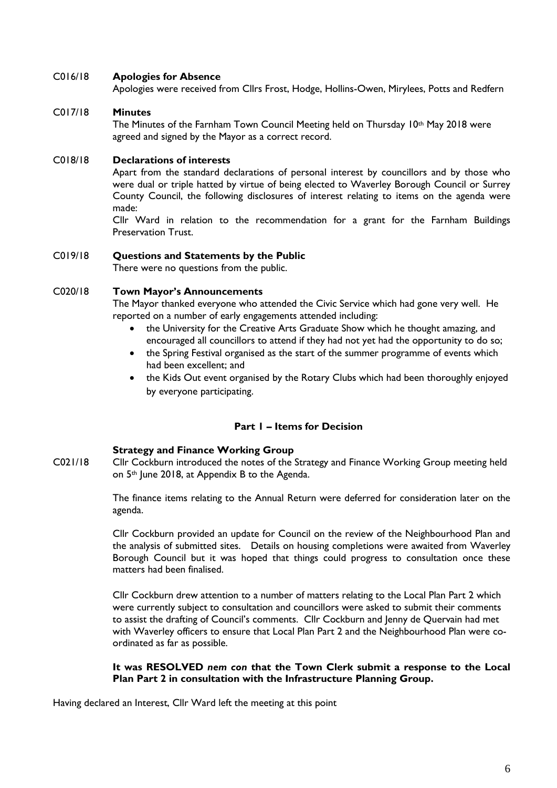#### C016/18 **Apologies for Absence**

Apologies were received from Cllrs Frost, Hodge, Hollins-Owen, Mirylees, Potts and Redfern

#### C017/18 **Minutes**

The Minutes of the Farnham Town Council Meeting held on Thursday 10<sup>th</sup> May 2018 were agreed and signed by the Mayor as a correct record.

#### C018/18 **Declarations of interests**

Apart from the standard declarations of personal interest by councillors and by those who were dual or triple hatted by virtue of being elected to Waverley Borough Council or Surrey County Council, the following disclosures of interest relating to items on the agenda were made:

Cllr Ward in relation to the recommendation for a grant for the Farnham Buildings Preservation Trust.

#### C019/18 **Questions and Statements by the Public**

There were no questions from the public.

#### C020/18 **Town Mayor's Announcements**

The Mayor thanked everyone who attended the Civic Service which had gone very well. He reported on a number of early engagements attended including:

- the University for the Creative Arts Graduate Show which he thought amazing, and encouraged all councillors to attend if they had not yet had the opportunity to do so;
- the Spring Festival organised as the start of the summer programme of events which had been excellent; and
- the Kids Out event organised by the Rotary Clubs which had been thoroughly enjoyed by everyone participating.

#### **Part 1 – Items for Decision**

#### **Strategy and Finance Working Group**

C021/18 Cllr Cockburn introduced the notes of the Strategy and Finance Working Group meeting held on 5th June 2018, at Appendix B to the Agenda.

> The finance items relating to the Annual Return were deferred for consideration later on the agenda.

> Cllr Cockburn provided an update for Council on the review of the Neighbourhood Plan and the analysis of submitted sites. Details on housing completions were awaited from Waverley Borough Council but it was hoped that things could progress to consultation once these matters had been finalised.

> Cllr Cockburn drew attention to a number of matters relating to the Local Plan Part 2 which were currently subject to consultation and councillors were asked to submit their comments to assist the drafting of Council's comments. Cllr Cockburn and Jenny de Quervain had met with Waverley officers to ensure that Local Plan Part 2 and the Neighbourhood Plan were coordinated as far as possible.

#### **It was RESOLVED** *nem con* **that the Town Clerk submit a response to the Local Plan Part 2 in consultation with the Infrastructure Planning Group.**

Having declared an Interest, Cllr Ward left the meeting at this point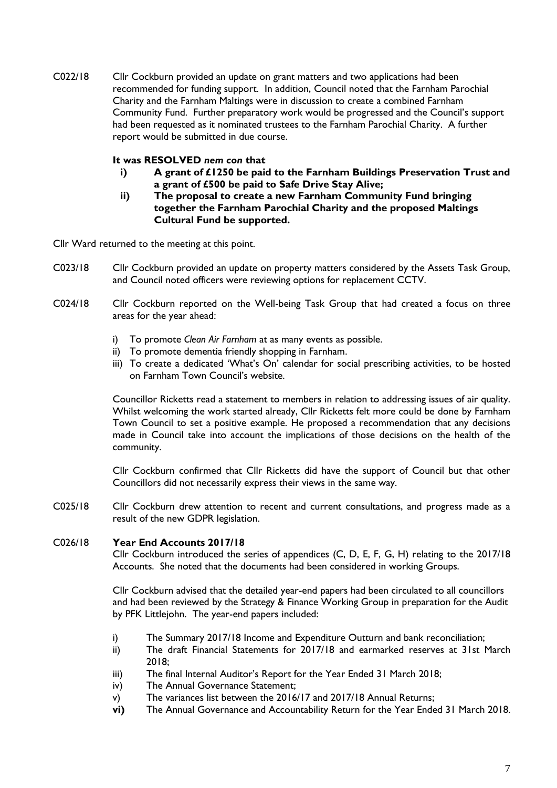C022/18 Cllr Cockburn provided an update on grant matters and two applications had been recommended for funding support. In addition, Council noted that the Farnham Parochial Charity and the Farnham Maltings were in discussion to create a combined Farnham Community Fund. Further preparatory work would be progressed and the Council's support had been requested as it nominated trustees to the Farnham Parochial Charity. A further report would be submitted in due course.

#### **It was RESOLVED** *nem con* **that**

- **i) A grant of £1250 be paid to the Farnham Buildings Preservation Trust and a grant of £500 be paid to Safe Drive Stay Alive;**
- **ii) The proposal to create a new Farnham Community Fund bringing together the Farnham Parochial Charity and the proposed Maltings Cultural Fund be supported.**

Cllr Ward returned to the meeting at this point.

- C023/18 Cllr Cockburn provided an update on property matters considered by the Assets Task Group, and Council noted officers were reviewing options for replacement CCTV.
- C024/18 Cllr Cockburn reported on the Well-being Task Group that had created a focus on three areas for the year ahead:
	- i) To promote *Clean Air Farnham* at as many events as possible.
	- ii) To promote dementia friendly shopping in Farnham.
	- iii) To create a dedicated 'What's On' calendar for social prescribing activities, to be hosted on Farnham Town Council's website.

Councillor Ricketts read a statement to members in relation to addressing issues of air quality. Whilst welcoming the work started already, Cllr Ricketts felt more could be done by Farnham Town Council to set a positive example. He proposed a recommendation that any decisions made in Council take into account the implications of those decisions on the health of the community.

Cllr Cockburn confirmed that Cllr Ricketts did have the support of Council but that other Councillors did not necessarily express their views in the same way.

C025/18 Cllr Cockburn drew attention to recent and current consultations, and progress made as a result of the new GDPR legislation.

#### C026/18 **Year End Accounts 2017/18**

Cllr Cockburn introduced the series of appendices (C, D, E, F, G, H) relating to the 2017/18 Accounts. She noted that the documents had been considered in working Groups.

Cllr Cockburn advised that the detailed year-end papers had been circulated to all councillors and had been reviewed by the Strategy & Finance Working Group in preparation for the Audit by PFK Littlejohn. The year-end papers included:

- i) The Summary 2017/18 Income and Expenditure Outturn and bank reconciliation;
- ii) The draft Financial Statements for 2017/18 and earmarked reserves at 31st March 2018;
- iii) The final Internal Auditor's Report for the Year Ended 31 March 2018;
- iv) The Annual Governance Statement;
- v) The variances list between the 2016/17 and 2017/18 Annual Returns;
- **vi)** The Annual Governance and Accountability Return for the Year Ended 31 March 2018.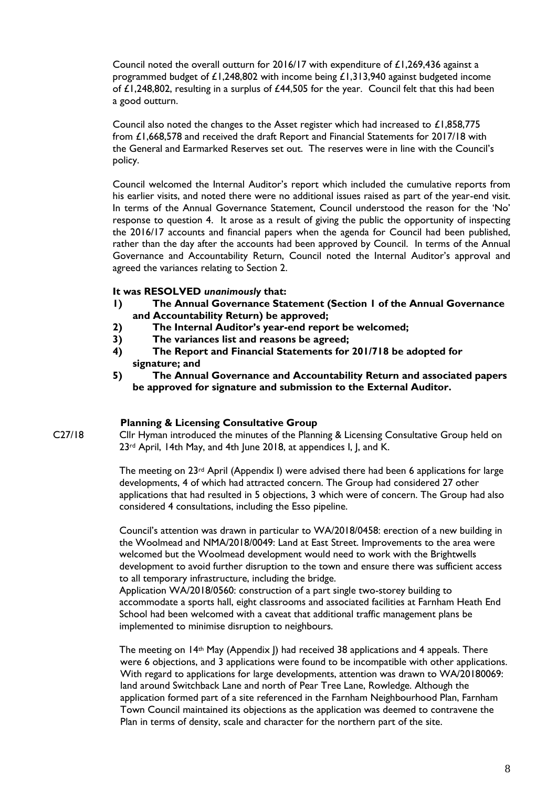Council noted the overall outturn for 2016/17 with expenditure of £1,269,436 against a programmed budget of £1,248,802 with income being  $£1,313,940$  against budgeted income of £1,248,802, resulting in a surplus of £44,505 for the year. Council felt that this had been a good outturn.

Council also noted the changes to the Asset register which had increased to £1,858,775 from £1,668,578 and received the draft Report and Financial Statements for 2017/18 with the General and Earmarked Reserves set out. The reserves were in line with the Council's policy.

Council welcomed the Internal Auditor's report which included the cumulative reports from his earlier visits, and noted there were no additional issues raised as part of the year-end visit. In terms of the Annual Governance Statement, Council understood the reason for the 'No' response to question 4. It arose as a result of giving the public the opportunity of inspecting the 2016/17 accounts and financial papers when the agenda for Council had been published, rather than the day after the accounts had been approved by Council. In terms of the Annual Governance and Accountability Return, Council noted the Internal Auditor's approval and agreed the variances relating to Section 2.

#### **It was RESOLVED** *unanimously* **that:**

- **1) The Annual Governance Statement (Section 1 of the Annual Governance and Accountability Return) be approved;**
- **2) The Internal Auditor's year-end report be welcomed;**
- **3) The variances list and reasons be agreed;**
- **4) The Report and Financial Statements for 201/718 be adopted for signature; and**
- **5) The Annual Governance and Accountability Return and associated papers be approved for signature and submission to the External Auditor.**

#### **Planning & Licensing Consultative Group**

C27/18 Cllr Hyman introduced the minutes of the Planning & Licensing Consultative Group held on 23<sup>rd</sup> April, 14th May, and 4th June 2018, at appendices I, J, and K.

> The meeting on  $23rd$  April (Appendix I) were advised there had been 6 applications for large developments, 4 of which had attracted concern. The Group had considered 27 other applications that had resulted in 5 objections, 3 which were of concern. The Group had also considered 4 consultations, including the Esso pipeline.

> Council's attention was drawn in particular to WA/2018/0458: erection of a new building in the Woolmead and NMA/2018/0049: Land at East Street. Improvements to the area were welcomed but the Woolmead development would need to work with the Brightwells development to avoid further disruption to the town and ensure there was sufficient access to all temporary infrastructure, including the bridge.

> Application WA/2018/0560: construction of a part single two-storey building to accommodate a sports hall, eight classrooms and associated facilities at Farnham Heath End School had been welcomed with a caveat that additional traffic management plans be implemented to minimise disruption to neighbours.

The meeting on 14<sup>th</sup> May (Appendix J) had received 38 applications and 4 appeals. There were 6 objections, and 3 applications were found to be incompatible with other applications. With regard to applications for large developments, attention was drawn to WA/20180069: land around Switchback Lane and north of Pear Tree Lane, Rowledge. Although the application formed part of a site referenced in the Farnham Neighbourhood Plan, Farnham Town Council maintained its objections as the application was deemed to contravene the Plan in terms of density, scale and character for the northern part of the site.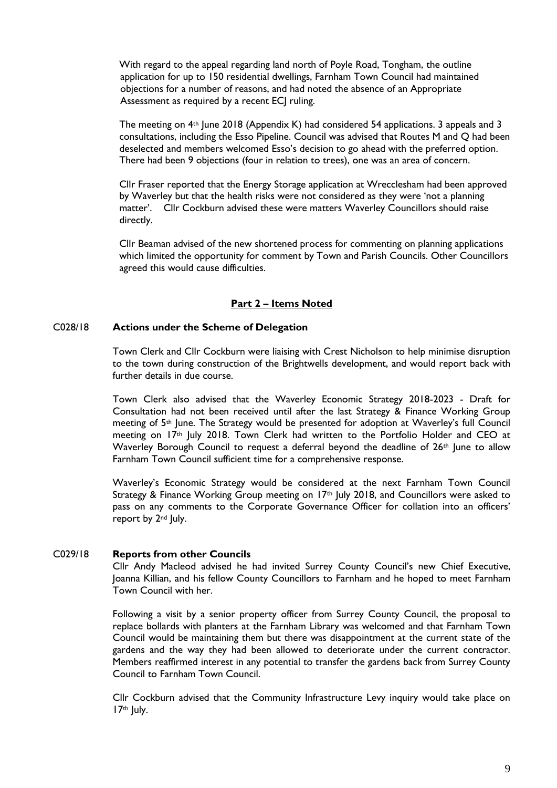With regard to the appeal regarding land north of Poyle Road, Tongham, the outline application for up to 150 residential dwellings, Farnham Town Council had maintained objections for a number of reasons, and had noted the absence of an Appropriate Assessment as required by a recent ECI ruling.

The meeting on  $4<sup>th</sup>$  June 2018 (Appendix K) had considered 54 applications. 3 appeals and 3 consultations, including the Esso Pipeline. Council was advised that Routes M and Q had been deselected and members welcomed Esso's decision to go ahead with the preferred option. There had been 9 objections (four in relation to trees), one was an area of concern.

Cllr Fraser reported that the Energy Storage application at Wrecclesham had been approved by Waverley but that the health risks were not considered as they were 'not a planning matter'. Cllr Cockburn advised these were matters Waverley Councillors should raise directly.

Cllr Beaman advised of the new shortened process for commenting on planning applications which limited the opportunity for comment by Town and Parish Councils. Other Councillors agreed this would cause difficulties.

#### **Part 2 – Items Noted**

#### C028/18 **Actions under the Scheme of Delegation**

Town Clerk and Cllr Cockburn were liaising with Crest Nicholson to help minimise disruption to the town during construction of the Brightwells development, and would report back with further details in due course.

Town Clerk also advised that the Waverley Economic Strategy 2018-2023 - Draft for Consultation had not been received until after the last Strategy & Finance Working Group meeting of 5th June. The Strategy would be presented for adoption at Waverley's full Council meeting on 17<sup>th</sup> July 2018. Town Clerk had written to the Portfolio Holder and CEO at Waverley Borough Council to request a deferral beyond the deadline of 26<sup>th</sup> June to allow Farnham Town Council sufficient time for a comprehensive response.

Waverley's Economic Strategy would be considered at the next Farnham Town Council Strategy & Finance Working Group meeting on 17<sup>th</sup> July 2018, and Councillors were asked to pass on any comments to the Corporate Governance Officer for collation into an officers' report by 2<sup>nd</sup> July.

#### C029/18 **Reports from other Councils**

Cllr Andy Macleod advised he had invited Surrey County Council's new Chief Executive, Joanna Killian, and his fellow County Councillors to Farnham and he hoped to meet Farnham Town Council with her.

Following a visit by a senior property officer from Surrey County Council, the proposal to replace bollards with planters at the Farnham Library was welcomed and that Farnham Town Council would be maintaining them but there was disappointment at the current state of the gardens and the way they had been allowed to deteriorate under the current contractor. Members reaffirmed interest in any potential to transfer the gardens back from Surrey County Council to Farnham Town Council.

Cllr Cockburn advised that the Community Infrastructure Levy inquiry would take place on 17th July.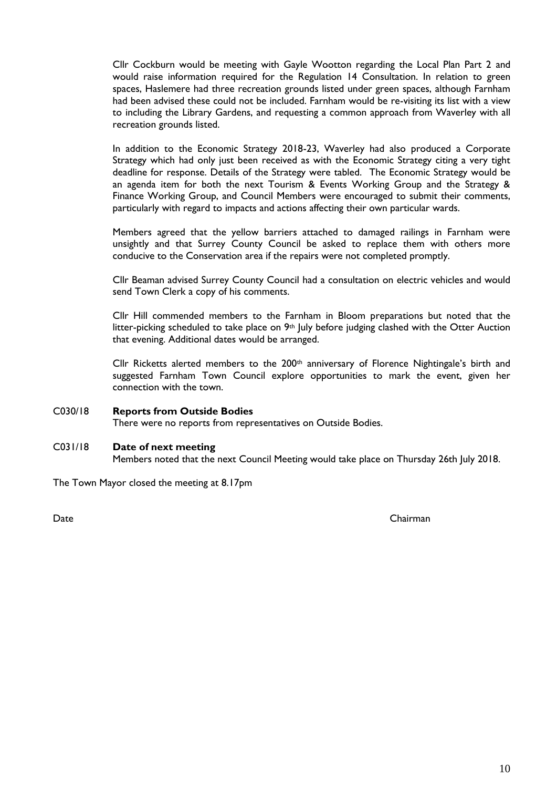Cllr Cockburn would be meeting with Gayle Wootton regarding the Local Plan Part 2 and would raise information required for the Regulation 14 Consultation. In relation to green spaces, Haslemere had three recreation grounds listed under green spaces, although Farnham had been advised these could not be included. Farnham would be re-visiting its list with a view to including the Library Gardens, and requesting a common approach from Waverley with all recreation grounds listed.

In addition to the Economic Strategy 2018-23, Waverley had also produced a Corporate Strategy which had only just been received as with the Economic Strategy citing a very tight deadline for response. Details of the Strategy were tabled. The Economic Strategy would be an agenda item for both the next Tourism & Events Working Group and the Strategy & Finance Working Group, and Council Members were encouraged to submit their comments, particularly with regard to impacts and actions affecting their own particular wards.

Members agreed that the yellow barriers attached to damaged railings in Farnham were unsightly and that Surrey County Council be asked to replace them with others more conducive to the Conservation area if the repairs were not completed promptly.

Cllr Beaman advised Surrey County Council had a consultation on electric vehicles and would send Town Clerk a copy of his comments.

Cllr Hill commended members to the Farnham in Bloom preparations but noted that the litter-picking scheduled to take place on 9th July before judging clashed with the Otter Auction that evening. Additional dates would be arranged.

Cllr Ricketts alerted members to the 200<sup>th</sup> anniversary of Florence Nightingale's birth and suggested Farnham Town Council explore opportunities to mark the event, given her connection with the town.

#### C030/18 **Reports from Outside Bodies**

There were no reports from representatives on Outside Bodies.

#### C031/18 **Date of next meeting**

Members noted that the next Council Meeting would take place on Thursday 26th July 2018.

The Town Mayor closed the meeting at 8.17pm

Date Chairman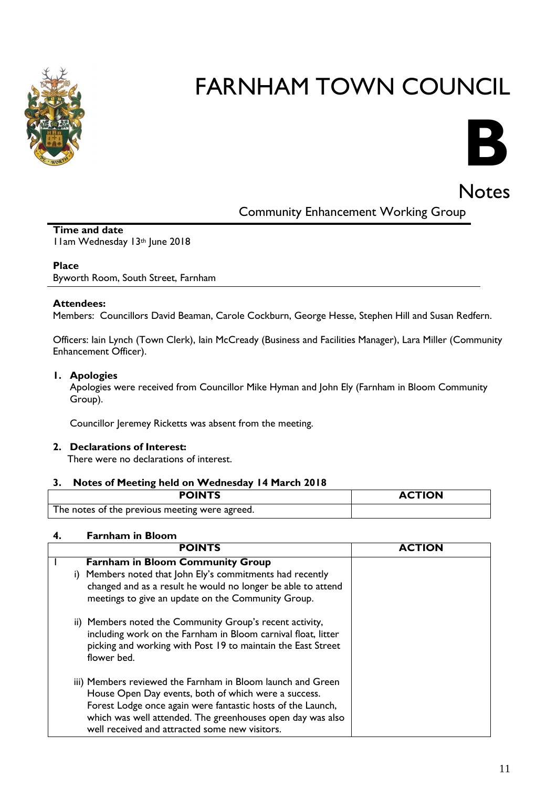



Notes

Community Enhancement Working Group

#### **Time and date** 11am Wednesday 13th June 2018

#### **Place**

Byworth Room, South Street, Farnham

#### **Attendees:**

Members: Councillors David Beaman, Carole Cockburn, George Hesse, Stephen Hill and Susan Redfern.

Officers: Iain Lynch (Town Clerk), Iain McCready (Business and Facilities Manager), Lara Miller (Community Enhancement Officer).

#### **1. Apologies**

Apologies were received from Councillor Mike Hyman and John Ely (Farnham in Bloom Community Group).

Councillor Jeremey Ricketts was absent from the meeting.

#### **2. Declarations of Interest:**

There were no declarations of interest.

#### **3. Notes of Meeting held on Wednesday 14 March 2018**

| <b>POINTS</b>                                  | <b>ACTION</b> |
|------------------------------------------------|---------------|
| The notes of the previous meeting were agreed. |               |

#### **4. Farnham in Bloom**

| <b>POINTS</b>                                                 | <b>ACTION</b> |
|---------------------------------------------------------------|---------------|
| <b>Farnham in Bloom Community Group</b>                       |               |
| i) Members noted that John Ely's commitments had recently     |               |
| changed and as a result he would no longer be able to attend  |               |
| meetings to give an update on the Community Group.            |               |
| ii) Members noted the Community Group's recent activity,      |               |
| including work on the Farnham in Bloom carnival float, litter |               |
| picking and working with Post 19 to maintain the East Street  |               |
| flower bed.                                                   |               |
| iii) Members reviewed the Farnham in Bloom launch and Green   |               |
| House Open Day events, both of which were a success.          |               |
| Forest Lodge once again were fantastic hosts of the Launch,   |               |
| which was well attended. The greenhouses open day was also    |               |
| well received and attracted some new visitors.                |               |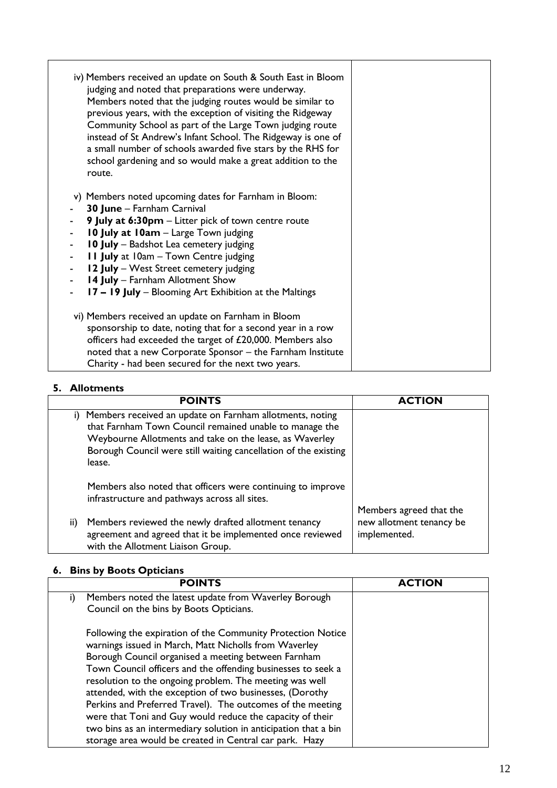| iv) Members received an update on South & South East in Bloom<br>judging and noted that preparations were underway.<br>Members noted that the judging routes would be similar to<br>previous years, with the exception of visiting the Ridgeway<br>Community School as part of the Large Town judging route<br>instead of St Andrew's Infant School. The Ridgeway is one of<br>a small number of schools awarded five stars by the RHS for<br>school gardening and so would make a great addition to the<br>route. |  |
|--------------------------------------------------------------------------------------------------------------------------------------------------------------------------------------------------------------------------------------------------------------------------------------------------------------------------------------------------------------------------------------------------------------------------------------------------------------------------------------------------------------------|--|
| Members noted upcoming dates for Farnham in Bloom:<br>V)<br>30 June - Farnham Carnival<br>9 July at 6:30pm - Litter pick of town centre route<br>10 July at 10am - Large Town judging<br>10 July - Badshot Lea cemetery judging<br>$\blacksquare$<br><b>11 July</b> at 10am - Town Centre judging<br>12 July - West Street cemetery judging<br>$\blacksquare$<br>14 July - Farnham Allotment Show<br>17 - 19 July - Blooming Art Exhibition at the Maltings                                                        |  |
| vi) Members received an update on Farnham in Bloom<br>sponsorship to date, noting that for a second year in a row<br>officers had exceeded the target of £20,000. Members also<br>noted that a new Corporate Sponsor - the Farnham Institute<br>Charity - had been secured for the next two years.                                                                                                                                                                                                                 |  |

#### **5. Allotments**

| <b>POINTS</b>                                                                                                                                                                                                                                               | <b>ACTION</b>                                                       |
|-------------------------------------------------------------------------------------------------------------------------------------------------------------------------------------------------------------------------------------------------------------|---------------------------------------------------------------------|
| Members received an update on Farnham allotments, noting<br>that Farnham Town Council remained unable to manage the<br>Weybourne Allotments and take on the lease, as Waverley<br>Borough Council were still waiting cancellation of the existing<br>lease. |                                                                     |
| Members also noted that officers were continuing to improve<br>infrastructure and pathways across all sites.                                                                                                                                                |                                                                     |
| Members reviewed the newly drafted allotment tenancy<br>ii)<br>agreement and agreed that it be implemented once reviewed<br>with the Allotment Liaison Group.                                                                                               | Members agreed that the<br>new allotment tenancy be<br>implemented. |

### **6. Bins by Boots Opticians**

| <b>POINTS</b>                                                   | <b>ACTION</b> |
|-----------------------------------------------------------------|---------------|
| Members noted the latest update from Waverley Borough           |               |
| Council on the bins by Boots Opticians.                         |               |
| Following the expiration of the Community Protection Notice     |               |
| warnings issued in March, Matt Nicholls from Waverley           |               |
| Borough Council organised a meeting between Farnham             |               |
| Town Council officers and the offending businesses to seek a    |               |
| resolution to the ongoing problem. The meeting was well         |               |
| attended, with the exception of two businesses, (Dorothy        |               |
| Perkins and Preferred Travel). The outcomes of the meeting      |               |
| were that Toni and Guy would reduce the capacity of their       |               |
| two bins as an intermediary solution in anticipation that a bin |               |
| storage area would be created in Central car park. Hazy         |               |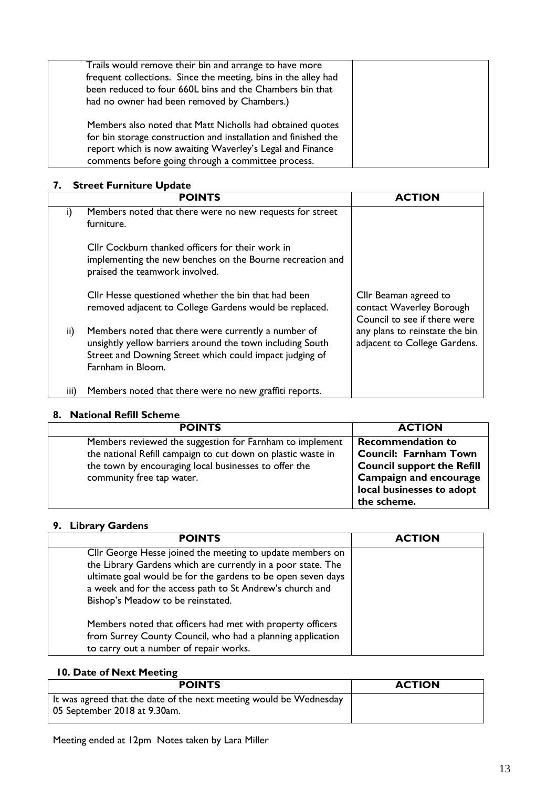| Trails would remove their bin and arrange to have more<br>frequent collections. Since the meeting, bins in the alley had<br>been reduced to four 660L bins and the Chambers bin that<br>had no owner had been removed by Chambers.)            |  |
|------------------------------------------------------------------------------------------------------------------------------------------------------------------------------------------------------------------------------------------------|--|
| Members also noted that Matt Nicholls had obtained quotes<br>for bin storage construction and installation and finished the<br>report which is now awaiting Waverley's Legal and Finance<br>comments before going through a committee process. |  |

#### **7. Street Furniture Update**

|      | <b>POINTS</b>                                                                                                                                                                                    | <b>ACTION</b>                                                                     |
|------|--------------------------------------------------------------------------------------------------------------------------------------------------------------------------------------------------|-----------------------------------------------------------------------------------|
| i)   | Members noted that there were no new requests for street<br>furniture.                                                                                                                           |                                                                                   |
|      | Cllr Cockburn thanked officers for their work in<br>implementing the new benches on the Bourne recreation and<br>praised the teamwork involved.                                                  |                                                                                   |
|      | Cllr Hesse questioned whether the bin that had been<br>removed adjacent to College Gardens would be replaced.                                                                                    | Cllr Beaman agreed to<br>contact Waverley Borough<br>Council to see if there were |
| ii)  | Members noted that there were currently a number of<br>unsightly yellow barriers around the town including South<br>Street and Downing Street which could impact judging of<br>Farnham in Bloom. | any plans to reinstate the bin<br>adjacent to College Gardens.                    |
| iii) | Members noted that there were no new graffiti reports.                                                                                                                                           |                                                                                   |

#### **8. National Refill Scheme**

| <b>POINTS</b>                                                                                                                                                                                                  | <b>ACTION</b>                                                                                                                                                              |
|----------------------------------------------------------------------------------------------------------------------------------------------------------------------------------------------------------------|----------------------------------------------------------------------------------------------------------------------------------------------------------------------------|
| Members reviewed the suggestion for Farnham to implement<br>the national Refill campaign to cut down on plastic waste in<br>the town by encouraging local businesses to offer the<br>community free tap water. | <b>Recommendation to</b><br><b>Council: Farnham Town</b><br><b>Council support the Refill</b><br><b>Campaign and encourage</b><br>local businesses to adopt<br>the scheme. |

#### **9. Library Gardens**

| <b>POINTS</b>                                                                                                                                                                                                                                                                              | <b>ACTION</b> |
|--------------------------------------------------------------------------------------------------------------------------------------------------------------------------------------------------------------------------------------------------------------------------------------------|---------------|
| Cllr George Hesse joined the meeting to update members on<br>the Library Gardens which are currently in a poor state. The<br>ultimate goal would be for the gardens to be open seven days<br>a week and for the access path to St Andrew's church and<br>Bishop's Meadow to be reinstated. |               |
| Members noted that officers had met with property officers<br>from Surrey County Council, who had a planning application<br>to carry out a number of repair works.                                                                                                                         |               |

#### **10. Date of Next Meeting**

| <b>POINTS</b>                                                                                      | <b>ACTION</b> |
|----------------------------------------------------------------------------------------------------|---------------|
| It was agreed that the date of the next meeting would be Wednesday<br>05 September 2018 at 9.30am. |               |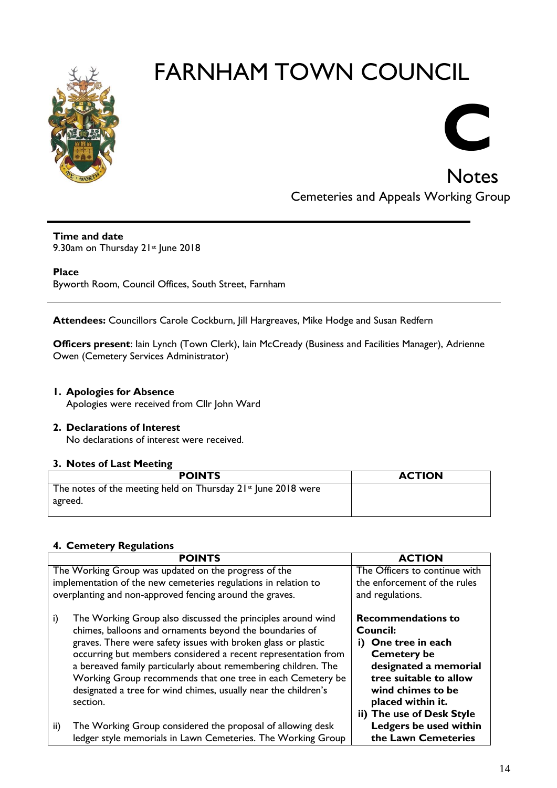

### **Notes** Cemeteries and Appeals Working Group

**C**

#### **Time and date**

9.30am on Thursday 21st June 2018

#### **Place**

Byworth Room, Council Offices, South Street, Farnham

**Attendees:** Councillors Carole Cockburn, Jill Hargreaves, Mike Hodge and Susan Redfern

**Officers present**: Iain Lynch (Town Clerk), Iain McCready (Business and Facilities Manager), Adrienne Owen (Cemetery Services Administrator)

#### **1. Apologies for Absence**

Apologies were received from Cllr John Ward

#### **2. Declarations of Interest**

No declarations of interest were received.

#### **3. Notes of Last Meeting**

| <b>POINTS</b>                                                            | <b>ACTION</b> |
|--------------------------------------------------------------------------|---------------|
| The notes of the meeting held on Thursday 21st June 2018 were<br>agreed. |               |

#### **4. Cemetery Regulations**

| <b>POINTS</b>                                                     | <b>ACTION</b>                 |
|-------------------------------------------------------------------|-------------------------------|
| The Working Group was updated on the progress of the              | The Officers to continue with |
| implementation of the new cemeteries regulations in relation to   | the enforcement of the rules  |
| overplanting and non-approved fencing around the graves.          | and regulations.              |
| i)<br>The Working Group also discussed the principles around wind | <b>Recommendations to</b>     |
| chimes, balloons and ornaments beyond the boundaries of           | <b>Council:</b>               |
| graves. There were safety issues with broken glass or plastic     | i) One tree in each           |
| occurring but members considered a recent representation from     | <b>Cemetery be</b>            |
| a bereaved family particularly about remembering children. The    | designated a memorial         |
| Working Group recommends that one tree in each Cemetery be        | tree suitable to allow        |
| designated a tree for wind chimes, usually near the children's    | wind chimes to be             |
| section.                                                          | placed within it.             |
|                                                                   | ii) The use of Desk Style     |
| The Working Group considered the proposal of allowing desk<br>ii) | Ledgers be used within        |
| ledger style memorials in Lawn Cemeteries. The Working Group      | the Lawn Cemeteries           |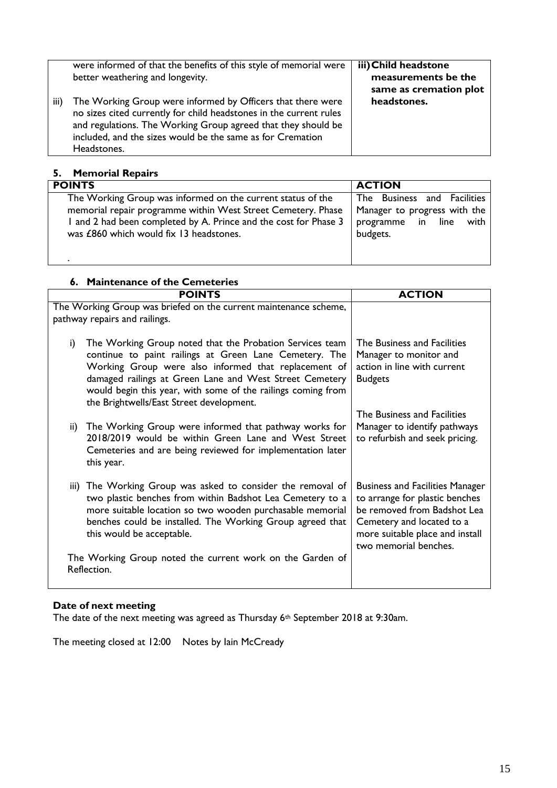|      | were informed of that the benefits of this style of memorial were                                                                                                                                                                                                               | iii) Child headstone                          |
|------|---------------------------------------------------------------------------------------------------------------------------------------------------------------------------------------------------------------------------------------------------------------------------------|-----------------------------------------------|
|      | better weathering and longevity.                                                                                                                                                                                                                                                | measurements be the<br>same as cremation plot |
| iii) | The Working Group were informed by Officers that there were<br>no sizes cited currently for child headstones in the current rules<br>and regulations. The Working Group agreed that they should be<br>included, and the sizes would be the same as for Cremation<br>Headstones. | headstones.                                   |

### **5. Memorial Repairs**

| <b>POINTS</b>                                                    | <b>ACTION</b>                |
|------------------------------------------------------------------|------------------------------|
| The Working Group was informed on the current status of the      | The Business and Facilities  |
| memorial repair programme within West Street Cemetery. Phase     | Manager to progress with the |
| I and 2 had been completed by A. Prince and the cost for Phase 3 | programme in line<br>with    |
| was £860 which would fix 13 headstones.                          | budgets.                     |
|                                                                  |                              |
|                                                                  |                              |

#### **6. Maintenance of the Cemeteries**

|     | <b>POINTS</b>                                                                                                                                                                                                                                                                                                                                     | <b>ACTION</b>                                                                                                                                                                                    |
|-----|---------------------------------------------------------------------------------------------------------------------------------------------------------------------------------------------------------------------------------------------------------------------------------------------------------------------------------------------------|--------------------------------------------------------------------------------------------------------------------------------------------------------------------------------------------------|
|     | The Working Group was briefed on the current maintenance scheme,<br>pathway repairs and railings.                                                                                                                                                                                                                                                 |                                                                                                                                                                                                  |
| i)  | The Working Group noted that the Probation Services team<br>continue to paint railings at Green Lane Cemetery. The<br>Working Group were also informed that replacement of<br>damaged railings at Green Lane and West Street Cemetery<br>would begin this year, with some of the railings coming from<br>the Brightwells/East Street development. | The Business and Facilities<br>Manager to monitor and<br>action in line with current<br><b>Budgets</b>                                                                                           |
| ii) | The Working Group were informed that pathway works for<br>2018/2019 would be within Green Lane and West Street<br>Cemeteries and are being reviewed for implementation later<br>this year.                                                                                                                                                        | The Business and Facilities<br>Manager to identify pathways<br>to refurbish and seek pricing.                                                                                                    |
|     | iii) The Working Group was asked to consider the removal of<br>two plastic benches from within Badshot Lea Cemetery to a<br>more suitable location so two wooden purchasable memorial<br>benches could be installed. The Working Group agreed that<br>this would be acceptable.                                                                   | <b>Business and Facilities Manager</b><br>to arrange for plastic benches<br>be removed from Badshot Lea<br>Cemetery and located to a<br>more suitable place and install<br>two memorial benches. |
|     | The Working Group noted the current work on the Garden of<br>Reflection.                                                                                                                                                                                                                                                                          |                                                                                                                                                                                                  |

#### **Date of next meeting**

The date of the next meeting was agreed as Thursday 6<sup>th</sup> September 2018 at 9:30am.

The meeting closed at 12:00 Notes by Iain McCready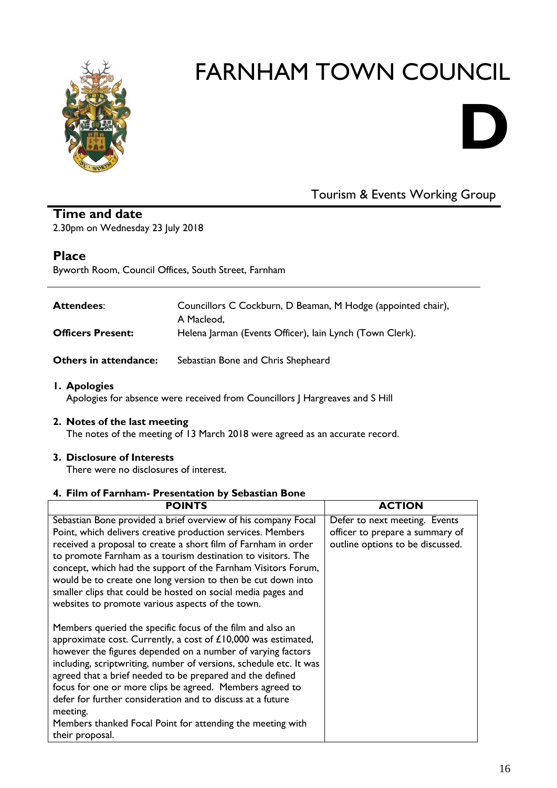

# **D**

### Tourism & Events Working Group

#### **Time and date** 2.30pm on Wednesday 23 July 2018

#### **Place**

Byworth Room, Council Offices, South Street, Farnham

| <b>Attendees:</b>        | Councillors C Cockburn, D Beaman, M Hodge (appointed chair),<br>A Macleod, |
|--------------------------|----------------------------------------------------------------------------|
| <b>Officers Present:</b> | Helena Jarman (Events Officer), lain Lynch (Town Clerk).                   |

**Others in attendance:** Sebastian Bone and Chris Shepheard

#### **1. Apologies**

Apologies for absence were received from Councillors J Hargreaves and S Hill

#### **2. Notes of the last meeting**

The notes of the meeting of 13 March 2018 were agreed as an accurate record.

#### **3. Disclosure of Interests**

There were no disclosures of interest.

#### **4. Film of Farnham- Presentation by Sebastian Bone**

| <b>POINTS</b>                                                                                                                                                                                                                                                                                                                                                                                                                                                                                                                                        | <b>ACTION</b>                                                                                        |
|------------------------------------------------------------------------------------------------------------------------------------------------------------------------------------------------------------------------------------------------------------------------------------------------------------------------------------------------------------------------------------------------------------------------------------------------------------------------------------------------------------------------------------------------------|------------------------------------------------------------------------------------------------------|
| Sebastian Bone provided a brief overview of his company Focal<br>Point, which delivers creative production services. Members<br>received a proposal to create a short film of Farnham in order<br>to promote Farnham as a tourism destination to visitors. The<br>concept, which had the support of the Farnham Visitors Forum,<br>would be to create one long version to then be cut down into<br>smaller clips that could be hosted on social media pages and<br>websites to promote various aspects of the town.                                  | Defer to next meeting. Events<br>officer to prepare a summary of<br>outline options to be discussed. |
| Members queried the specific focus of the film and also an<br>approximate cost. Currently, a cost of £10,000 was estimated,<br>however the figures depended on a number of varying factors<br>including, scriptwriting, number of versions, schedule etc. It was<br>agreed that a brief needed to be prepared and the defined<br>focus for one or more clips be agreed. Members agreed to<br>defer for further consideration and to discuss at a future<br>meeting.<br>Members thanked Focal Point for attending the meeting with<br>their proposal. |                                                                                                      |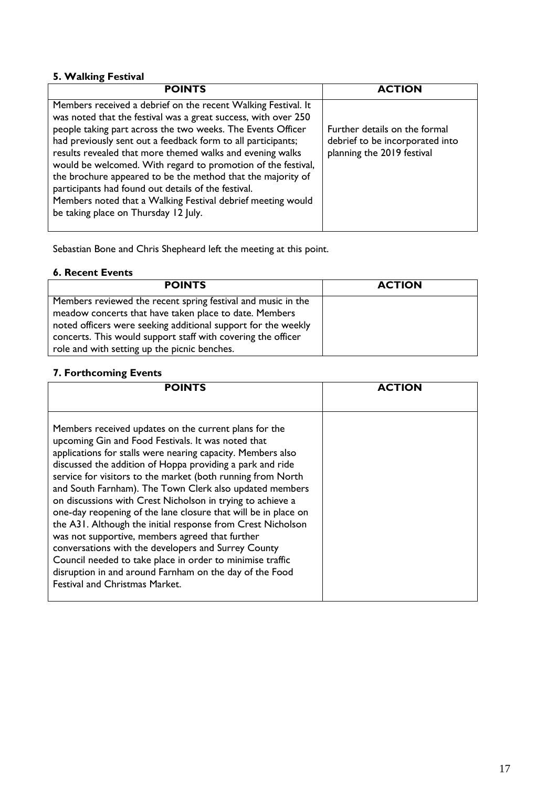#### **5. Walking Festival**

| <b>POINTS</b>                                                                                                                                                                                                                                                                                                                                                                                                                                                                                                                                                                                                            | <b>ACTION</b>                                                                                  |
|--------------------------------------------------------------------------------------------------------------------------------------------------------------------------------------------------------------------------------------------------------------------------------------------------------------------------------------------------------------------------------------------------------------------------------------------------------------------------------------------------------------------------------------------------------------------------------------------------------------------------|------------------------------------------------------------------------------------------------|
| Members received a debrief on the recent Walking Festival. It<br>was noted that the festival was a great success, with over 250<br>people taking part across the two weeks. The Events Officer<br>had previously sent out a feedback form to all participants;<br>results revealed that more themed walks and evening walks<br>would be welcomed. With regard to promotion of the festival,<br>the brochure appeared to be the method that the majority of<br>participants had found out details of the festival.<br>Members noted that a Walking Festival debrief meeting would<br>be taking place on Thursday 12 July. | Further details on the formal<br>debrief to be incorporated into<br>planning the 2019 festival |

Sebastian Bone and Chris Shepheard left the meeting at this point.

#### **6. Recent Events**

| <b>POINTS</b>                                                 | <b>ACTION</b> |
|---------------------------------------------------------------|---------------|
| Members reviewed the recent spring festival and music in the  |               |
| meadow concerts that have taken place to date. Members        |               |
| noted officers were seeking additional support for the weekly |               |
| concerts. This would support staff with covering the officer  |               |
| role and with setting up the picnic benches.                  |               |

#### **7. Forthcoming Events**

| <b>POINTS</b>                                                                                                                                                                                                                                                                                                                                                                                                                                                                                                                                                                                                                                                                                                                                                                                                                               | <b>ACTION</b> |
|---------------------------------------------------------------------------------------------------------------------------------------------------------------------------------------------------------------------------------------------------------------------------------------------------------------------------------------------------------------------------------------------------------------------------------------------------------------------------------------------------------------------------------------------------------------------------------------------------------------------------------------------------------------------------------------------------------------------------------------------------------------------------------------------------------------------------------------------|---------------|
| Members received updates on the current plans for the<br>upcoming Gin and Food Festivals. It was noted that<br>applications for stalls were nearing capacity. Members also<br>discussed the addition of Hoppa providing a park and ride<br>service for visitors to the market (both running from North<br>and South Farnham). The Town Clerk also updated members<br>on discussions with Crest Nicholson in trying to achieve a<br>one-day reopening of the lane closure that will be in place on<br>the A31. Although the initial response from Crest Nicholson<br>was not supportive, members agreed that further<br>conversations with the developers and Surrey County<br>Council needed to take place in order to minimise traffic<br>disruption in and around Farnham on the day of the Food<br><b>Festival and Christmas Market.</b> |               |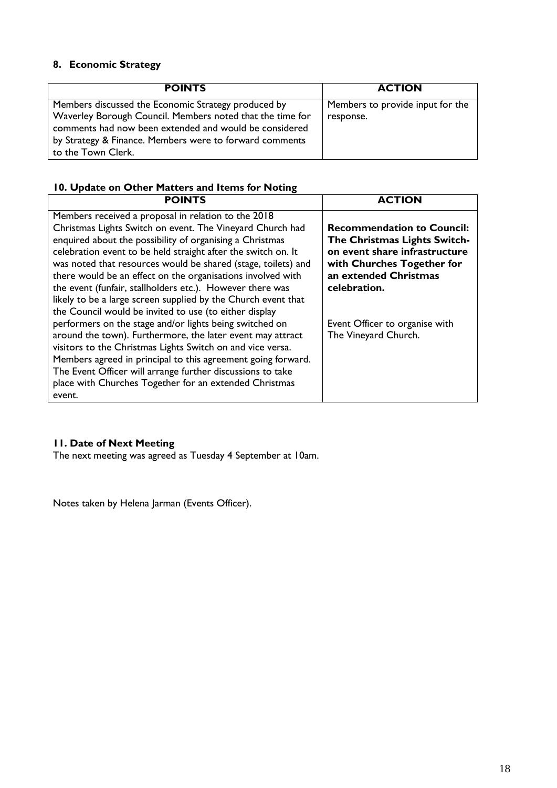#### **8. Economic Strategy**

| <b>POINTS</b>                                                                                                       | <b>ACTION</b>                    |
|---------------------------------------------------------------------------------------------------------------------|----------------------------------|
| Members discussed the Economic Strategy produced by                                                                 | Members to provide input for the |
| Waverley Borough Council. Members noted that the time for<br>comments had now been extended and would be considered | response.                        |
| by Strategy & Finance. Members were to forward comments                                                             |                                  |
| to the Town Clerk.                                                                                                  |                                  |

#### **10. Update on Other Matters and Items for Noting**

| <b>POINTS</b>                                                                                                                                                                                                                                                                                                                                                                                                                                                                                                                                                                                                                                                                                                                                                                                                                                                                                                                                                  | <b>ACTION</b>                                                                                                                                                                                                                       |
|----------------------------------------------------------------------------------------------------------------------------------------------------------------------------------------------------------------------------------------------------------------------------------------------------------------------------------------------------------------------------------------------------------------------------------------------------------------------------------------------------------------------------------------------------------------------------------------------------------------------------------------------------------------------------------------------------------------------------------------------------------------------------------------------------------------------------------------------------------------------------------------------------------------------------------------------------------------|-------------------------------------------------------------------------------------------------------------------------------------------------------------------------------------------------------------------------------------|
| Members received a proposal in relation to the 2018<br>Christmas Lights Switch on event. The Vineyard Church had<br>enquired about the possibility of organising a Christmas<br>celebration event to be held straight after the switch on. It<br>was noted that resources would be shared (stage, toilets) and<br>there would be an effect on the organisations involved with<br>the event (funfair, stallholders etc.). However there was<br>likely to be a large screen supplied by the Church event that<br>the Council would be invited to use (to either display<br>performers on the stage and/or lights being switched on<br>around the town). Furthermore, the later event may attract<br>visitors to the Christmas Lights Switch on and vice versa.<br>Members agreed in principal to this agreement going forward.<br>The Event Officer will arrange further discussions to take<br>place with Churches Together for an extended Christmas<br>event. | <b>Recommendation to Council:</b><br>The Christmas Lights Switch-<br>on event share infrastructure<br>with Churches Together for<br>an extended Christmas<br>celebration.<br>Event Officer to organise with<br>The Vineyard Church. |

#### **11. Date of Next Meeting**

The next meeting was agreed as Tuesday 4 September at 10am.

Notes taken by Helena Jarman (Events Officer).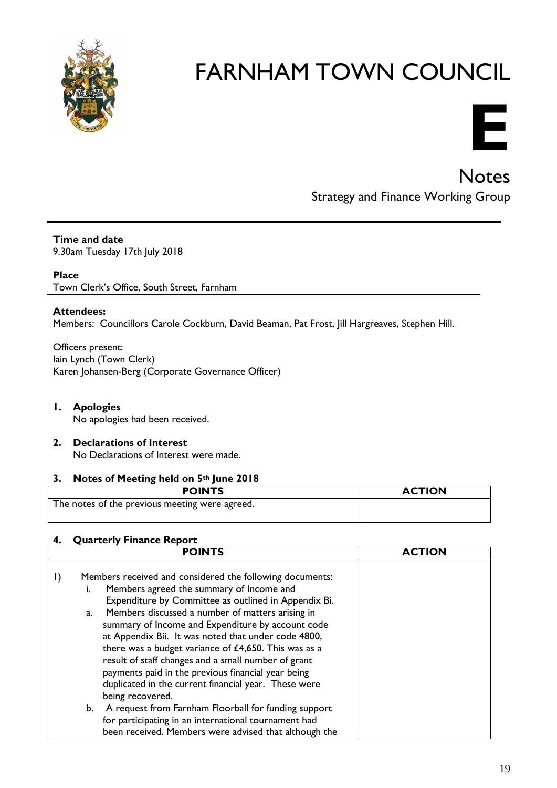



### **Notes** Strategy and Finance Working Group

**Time and date** 9.30am Tuesday 17th July 2018

**Place**

Town Clerk's Office, South Street, Farnham

#### **Attendees:**

Members: Councillors Carole Cockburn, David Beaman, Pat Frost, Jill Hargreaves, Stephen Hill.

Officers present: Iain Lynch (Town Clerk) Karen Johansen-Berg (Corporate Governance Officer)

**1. Apologies**

No apologies had been received.

**2. Declarations of Interest**  No Declarations of Interest were made.

#### **3. Notes of Meeting held on 5th June 2018**

| <b>POINTS</b>                                  | <b>ACTION</b> |
|------------------------------------------------|---------------|
| The notes of the previous meeting were agreed. |               |

#### **4. Quarterly Finance Report**

| <b>POINTS</b>                                                                                                                                                                                                                                                                                                                                                                                                                                                                                                                                                                                | <b>ACTION</b> |
|----------------------------------------------------------------------------------------------------------------------------------------------------------------------------------------------------------------------------------------------------------------------------------------------------------------------------------------------------------------------------------------------------------------------------------------------------------------------------------------------------------------------------------------------------------------------------------------------|---------------|
| Members received and considered the following documents:<br>Members agreed the summary of Income and<br>ı.<br>Expenditure by Committee as outlined in Appendix Bi.<br>Members discussed a number of matters arising in<br>a.<br>summary of Income and Expenditure by account code<br>at Appendix Bii. It was noted that under code 4800,<br>there was a budget variance of $£4,650$ . This was as a<br>result of staff changes and a small number of grant<br>payments paid in the previous financial year being<br>duplicated in the current financial year. These were<br>being recovered. |               |
| A request from Farnham Floorball for funding support<br>b.<br>for participating in an international tournament had<br>been received. Members were advised that although the                                                                                                                                                                                                                                                                                                                                                                                                                  |               |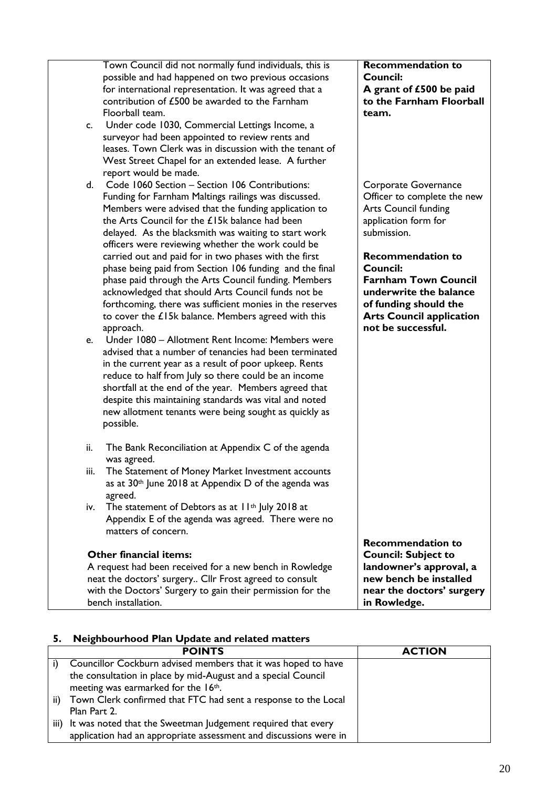|      | Town Council did not normally fund individuals, this is          | <b>Recommendation to</b>                          |
|------|------------------------------------------------------------------|---------------------------------------------------|
|      | possible and had happened on two previous occasions              | Council:                                          |
|      | for international representation. It was agreed that a           | A grant of £500 be paid                           |
|      | contribution of £500 be awarded to the Farnham                   | to the Farnham Floorball                          |
|      | Floorball team.                                                  | team.                                             |
| c.   | Under code 1030, Commercial Lettings Income, a                   |                                                   |
|      | surveyor had been appointed to review rents and                  |                                                   |
|      | leases. Town Clerk was in discussion with the tenant of          |                                                   |
|      | West Street Chapel for an extended lease. A further              |                                                   |
|      | report would be made.                                            |                                                   |
| d.   | Code 1060 Section - Section 106 Contributions:                   | Corporate Governance                              |
|      | Funding for Farnham Maltings railings was discussed.             | Officer to complete the new                       |
|      | Members were advised that the funding application to             | <b>Arts Council funding</b>                       |
|      |                                                                  |                                                   |
|      | the Arts Council for the £15k balance had been                   | application form for                              |
|      | delayed. As the blacksmith was waiting to start work             | submission.                                       |
|      | officers were reviewing whether the work could be                |                                                   |
|      | carried out and paid for in two phases with the first            | <b>Recommendation to</b>                          |
|      | phase being paid from Section 106 funding and the final          | <b>Council:</b>                                   |
|      | phase paid through the Arts Council funding. Members             | <b>Farnham Town Council</b>                       |
|      | acknowledged that should Arts Council funds not be               | underwrite the balance                            |
|      | forthcoming, there was sufficient monies in the reserves         | of funding should the                             |
|      | to cover the £15k balance. Members agreed with this              | <b>Arts Council application</b>                   |
|      | approach.                                                        | not be successful.                                |
| e.   | Under 1080 - Allotment Rent Income: Members were                 |                                                   |
|      | advised that a number of tenancies had been terminated           |                                                   |
|      | in the current year as a result of poor upkeep. Rents            |                                                   |
|      | reduce to half from July so there could be an income             |                                                   |
|      | shortfall at the end of the year. Members agreed that            |                                                   |
|      | despite this maintaining standards was vital and noted           |                                                   |
|      | new allotment tenants were being sought as quickly as            |                                                   |
|      | possible.                                                        |                                                   |
| ii.  | The Bank Reconciliation at Appendix C of the agenda              |                                                   |
|      | was agreed.                                                      |                                                   |
| iii. | The Statement of Money Market Investment accounts                |                                                   |
|      | as at 30 <sup>th</sup> June 2018 at Appendix D of the agenda was |                                                   |
|      | agreed.                                                          |                                                   |
| iv.  | The statement of Debtors as at 11 <sup>th</sup> July 2018 at     |                                                   |
|      | Appendix E of the agenda was agreed. There were no               |                                                   |
|      | matters of concern.                                              |                                                   |
|      |                                                                  | <b>Recommendation to</b>                          |
|      | <b>Other financial items:</b>                                    |                                                   |
|      |                                                                  | <b>Council: Subject to</b>                        |
|      | A request had been received for a new bench in Rowledge          | landowner's approval, a<br>new bench be installed |
|      | neat the doctors' surgery Cllr Frost agreed to consult           |                                                   |
|      | with the Doctors' Surgery to gain their permission for the       | near the doctors' surgery                         |
|      | bench installation.                                              | in Rowledge.                                      |

#### **5. Neighbourhood Plan Update and related matters**

|      | <b>POINTS</b>                                                     | <b>ACTION</b> |
|------|-------------------------------------------------------------------|---------------|
|      | Councillor Cockburn advised members that it was hoped to have     |               |
|      | the consultation in place by mid-August and a special Council     |               |
|      | meeting was earmarked for the 16th.                               |               |
| ii)  | Town Clerk confirmed that FTC had sent a response to the Local    |               |
|      | Plan Part 2.                                                      |               |
| iii) | It was noted that the Sweetman Judgement required that every      |               |
|      | application had an appropriate assessment and discussions were in |               |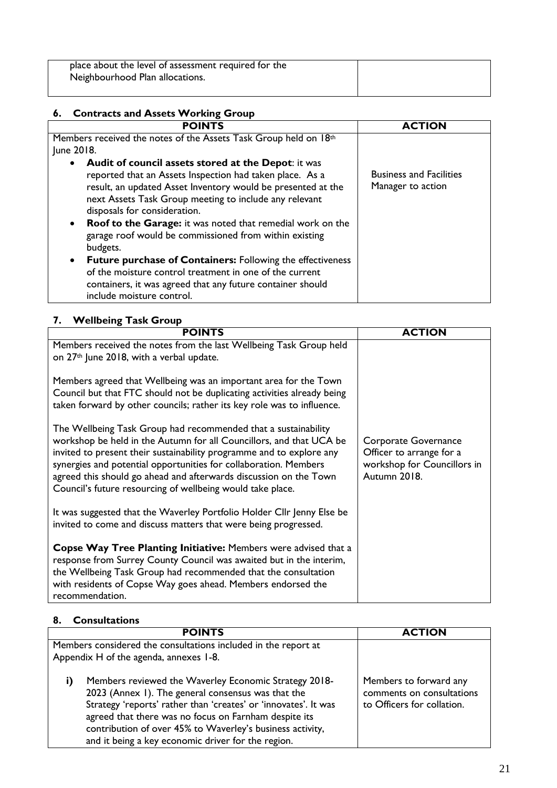place about the level of assessment required for the Neighbourhood Plan allocations.

| 6. Contracts and Assets Working Group                                                                                                                                                                                                                                                                                                                                                                                                                                                                                                                                                                                                                                                  |                                                     |  |
|----------------------------------------------------------------------------------------------------------------------------------------------------------------------------------------------------------------------------------------------------------------------------------------------------------------------------------------------------------------------------------------------------------------------------------------------------------------------------------------------------------------------------------------------------------------------------------------------------------------------------------------------------------------------------------------|-----------------------------------------------------|--|
| <b>POINTS</b>                                                                                                                                                                                                                                                                                                                                                                                                                                                                                                                                                                                                                                                                          | <b>ACTION</b>                                       |  |
| Members received the notes of the Assets Task Group held on 18th<br>June 2018.                                                                                                                                                                                                                                                                                                                                                                                                                                                                                                                                                                                                         |                                                     |  |
| Audit of council assets stored at the Depot: it was<br>$\bullet$<br>reported that an Assets Inspection had taken place. As a<br>result, an updated Asset Inventory would be presented at the<br>next Assets Task Group meeting to include any relevant<br>disposals for consideration.<br><b>Roof to the Garage:</b> it was noted that remedial work on the<br>$\bullet$<br>garage roof would be commissioned from within existing<br>budgets.<br><b>Future purchase of Containers:</b> Following the effectiveness<br>$\bullet$<br>of the moisture control treatment in one of the current<br>containers, it was agreed that any future container should<br>include moisture control. | <b>Business and Facilities</b><br>Manager to action |  |

#### **7. Wellbeing Task Group**

| <b>POINTS</b>                                                                                                                                                                                                                                                                                                                                                                                                        | <b>ACTION</b>                                                                                   |
|----------------------------------------------------------------------------------------------------------------------------------------------------------------------------------------------------------------------------------------------------------------------------------------------------------------------------------------------------------------------------------------------------------------------|-------------------------------------------------------------------------------------------------|
| Members received the notes from the last Wellbeing Task Group held<br>on 27 <sup>th</sup> June 2018, with a verbal update.                                                                                                                                                                                                                                                                                           |                                                                                                 |
| Members agreed that Wellbeing was an important area for the Town<br>Council but that FTC should not be duplicating activities already being<br>taken forward by other councils; rather its key role was to influence.                                                                                                                                                                                                |                                                                                                 |
| The Wellbeing Task Group had recommended that a sustainability<br>workshop be held in the Autumn for all Councillors, and that UCA be<br>invited to present their sustainability programme and to explore any<br>synergies and potential opportunities for collaboration. Members<br>agreed this should go ahead and afterwards discussion on the Town<br>Council's future resourcing of wellbeing would take place. | Corporate Governance<br>Officer to arrange for a<br>workshop for Councillors in<br>Autumn 2018. |
| It was suggested that the Waverley Portfolio Holder Cllr Jenny Else be<br>invited to come and discuss matters that were being progressed.                                                                                                                                                                                                                                                                            |                                                                                                 |
| <b>Copse Way Tree Planting Initiative:</b> Members were advised that a<br>response from Surrey County Council was awaited but in the interim,<br>the Wellbeing Task Group had recommended that the consultation<br>with residents of Copse Way goes ahead. Members endorsed the<br>recommendation.                                                                                                                   |                                                                                                 |

#### **8. Consultations**

| <b>POINTS</b>                                                                                                                                                                                                                                                                                                                                                    | CTION                                                                             |
|------------------------------------------------------------------------------------------------------------------------------------------------------------------------------------------------------------------------------------------------------------------------------------------------------------------------------------------------------------------|-----------------------------------------------------------------------------------|
| Members considered the consultations included in the report at                                                                                                                                                                                                                                                                                                   |                                                                                   |
| Appendix H of the agenda, annexes 1-8.                                                                                                                                                                                                                                                                                                                           |                                                                                   |
| Members reviewed the Waverley Economic Strategy 2018-<br>I)<br>2023 (Annex 1). The general consensus was that the<br>Strategy 'reports' rather than 'creates' or 'innovates'. It was<br>agreed that there was no focus on Farnham despite its<br>contribution of over 45% to Waverley's business activity,<br>and it being a key economic driver for the region. | Members to forward any<br>comments on consultations<br>to Officers for collation. |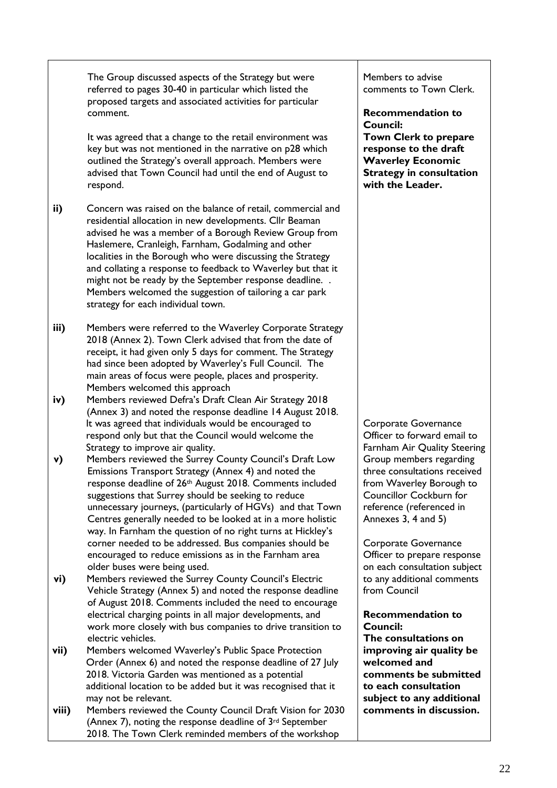The Group discussed aspects of the Strategy but were referred to pages 30-40 in particular which listed the proposed targets and associated activities for particular comment.

It was agreed that a change to the retail environment was key but was not mentioned in the narrative on p28 which outlined the Strategy's overall approach. Members were advised that Town Council had until the end of August to respond.

- **ii)** Concern was raised on the balance of retail, commercial and residential allocation in new developments. Cllr Beaman advised he was a member of a Borough Review Group from Haslemere, Cranleigh, Farnham, Godalming and other localities in the Borough who were discussing the Strategy and collating a response to feedback to Waverley but that it might not be ready by the September response deadline. . Members welcomed the suggestion of tailoring a car park strategy for each individual town.
- **iii)** Members were referred to the Waverley Corporate Strategy 2018 (Annex 2). Town Clerk advised that from the date of receipt, it had given only 5 days for comment. The Strategy had since been adopted by Waverley's Full Council. The main areas of focus were people, places and prosperity. Members welcomed this approach
- **iv)** Members reviewed Defra's Draft Clean Air Strategy 2018 (Annex 3) and noted the response deadline 14 August 2018. It was agreed that individuals would be encouraged to respond only but that the Council would welcome the Strategy to improve air quality.
- **v)** Members reviewed the Surrey County Council's Draft Low Emissions Transport Strategy (Annex 4) and noted the response deadline of 26th August 2018. Comments included suggestions that Surrey should be seeking to reduce unnecessary journeys, (particularly of HGVs) and that Town Centres generally needed to be looked at in a more holistic way. In Farnham the question of no right turns at Hickley's corner needed to be addressed. Bus companies should be encouraged to reduce emissions as in the Farnham area older buses were being used.
- **vi)** Members reviewed the Surrey County Council's Electric Vehicle Strategy (Annex 5) and noted the response deadline of August 2018. Comments included the need to encourage electrical charging points in all major developments, and work more closely with bus companies to drive transition to electric vehicles.
- **vii)** Members welcomed Waverley's Public Space Protection Order (Annex 6) and noted the response deadline of 27 July 2018. Victoria Garden was mentioned as a potential additional location to be added but it was recognised that it may not be relevant.
- **viii)** Members reviewed the County Council Draft Vision for 2030 (Annex 7), noting the response deadline of 3rd September 2018. The Town Clerk reminded members of the workshop

Members to advise comments to Town Clerk.

**Recommendation to Council: Town Clerk to prepare** 

**response to the draft Waverley Economic Strategy in consultation with the Leader.**

Corporate Governance Officer to forward email to Farnham Air Quality Steering Group members regarding three consultations received from Waverley Borough to Councillor Cockburn for reference (referenced in Annexes 3, 4 and 5)

Corporate Governance Officer to prepare response on each consultation subject to any additional comments from Council

**Recommendation to Council: The consultations on improving air quality be welcomed and comments be submitted to each consultation subject to any additional comments in discussion.**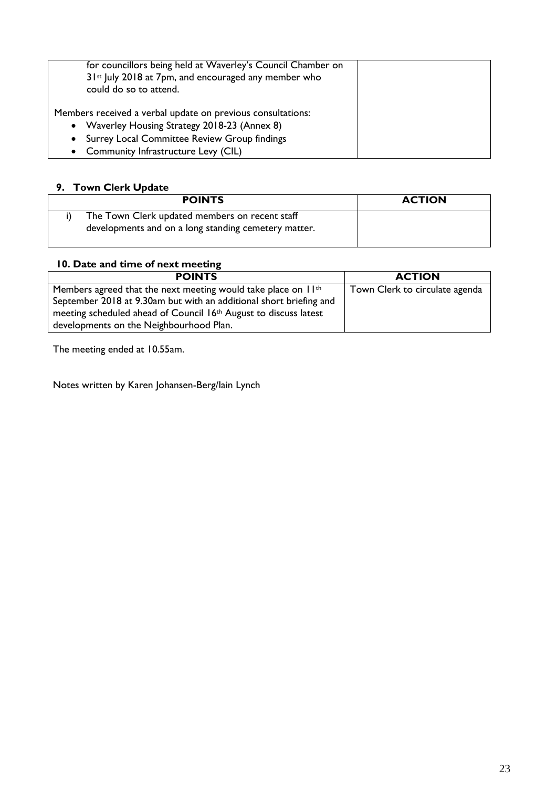| for councillors being held at Waverley's Council Chamber on<br>31 <sup>st</sup> July 2018 at 7pm, and encouraged any member who<br>could do so to attend. |  |
|-----------------------------------------------------------------------------------------------------------------------------------------------------------|--|
| Members received a verbal update on previous consultations:                                                                                               |  |
| • Waverley Housing Strategy 2018-23 (Annex 8)                                                                                                             |  |
| Surrey Local Committee Review Group findings<br>$\bullet$                                                                                                 |  |
| • Community Infrastructure Levy (CIL)                                                                                                                     |  |

#### **9. Town Clerk Update**

| <b>POINTS</b>                                                                                          | <b>ACTION</b> |
|--------------------------------------------------------------------------------------------------------|---------------|
| The Town Clerk updated members on recent staff<br>developments and on a long standing cemetery matter. |               |

#### **10. Date and time of next meeting**

| <b>POINTS</b>                                                             | <b>ACTION</b>                  |
|---------------------------------------------------------------------------|--------------------------------|
| Members agreed that the next meeting would take place on II <sup>th</sup> | Town Clerk to circulate agenda |
| September 2018 at 9.30am but with an additional short briefing and        |                                |
| meeting scheduled ahead of Council 16th August to discuss latest          |                                |
| developments on the Neighbourhood Plan.                                   |                                |

The meeting ended at 10.55am.

Notes written by Karen Johansen-Berg/Iain Lynch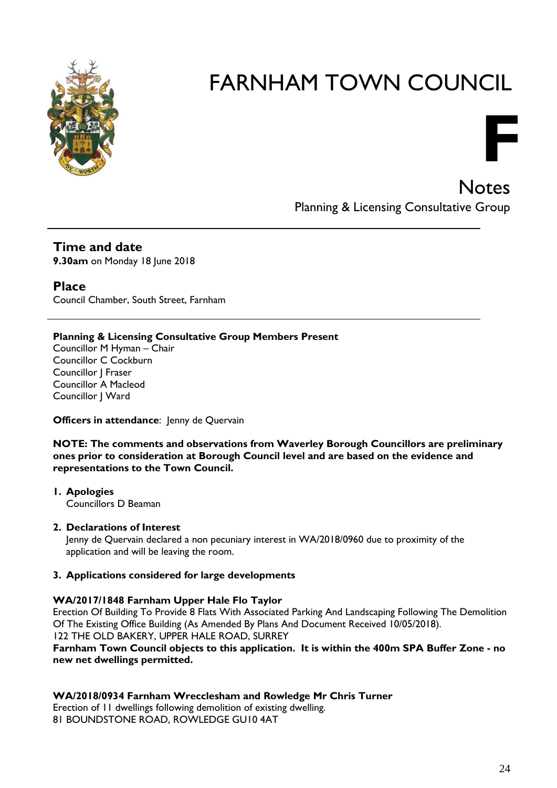

**Notes** Planning & Licensing Consultative Group

**F**

**Time and date 9.30am** on Monday 18 June 2018

**Place** Council Chamber, South Street, Farnham

#### **Planning & Licensing Consultative Group Members Present**

Councillor M Hyman – Chair Councillor C Cockburn Councillor J Fraser Councillor A Macleod Councillor J Ward

#### **Officers in attendance:** Jenny de Quervain

**NOTE: The comments and observations from Waverley Borough Councillors are preliminary ones prior to consideration at Borough Council level and are based on the evidence and representations to the Town Council.**

**1. Apologies** Councillors D Beaman

#### **2. Declarations of Interest**

Jenny de Quervain declared a non pecuniary interest in WA/2018/0960 due to proximity of the application and will be leaving the room.

#### **3. Applications considered for large developments**

#### **WA/2017/1848 Farnham Upper Hale Flo Taylor**

Erection Of Building To Provide 8 Flats With Associated Parking And Landscaping Following The Demolition Of The Existing Office Building (As Amended By Plans And Document Received 10/05/2018). 122 THE OLD BAKERY, UPPER HALE ROAD, SURREY

**Farnham Town Council objects to this application. It is within the 400m SPA Buffer Zone - no new net dwellings permitted.**

#### **WA/2018/0934 Farnham Wrecclesham and Rowledge Mr Chris Turner**

Erection of 11 dwellings following demolition of existing dwelling. 81 BOUNDSTONE ROAD, ROWLEDGE GU10 4AT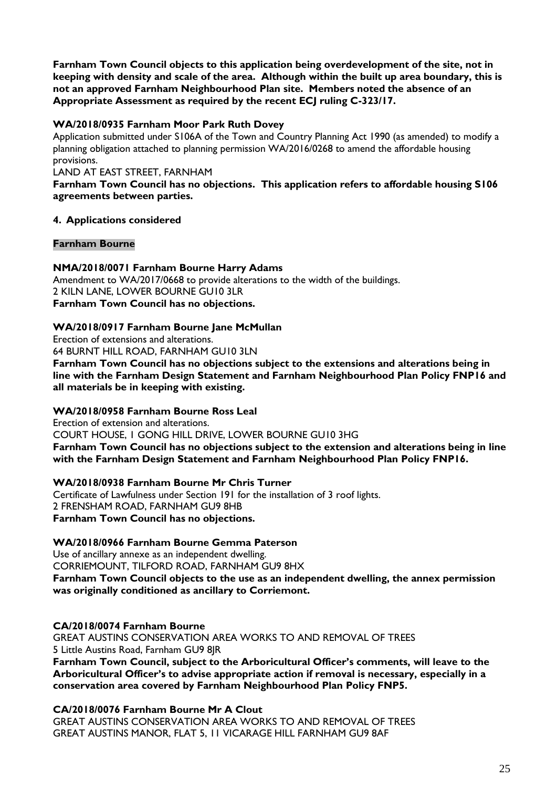**Farnham Town Council objects to this application being overdevelopment of the site, not in keeping with density and scale of the area. Although within the built up area boundary, this is not an approved Farnham Neighbourhood Plan site. Members noted the absence of an Appropriate Assessment as required by the recent ECJ ruling C-323/17.**

#### **WA/2018/0935 Farnham Moor Park Ruth Dovey**

Application submitted under S106A of the Town and Country Planning Act 1990 (as amended) to modify a planning obligation attached to planning permission WA/2016/0268 to amend the affordable housing provisions.

#### LAND AT EAST STREET, FARNHAM

**Farnham Town Council has no objections. This application refers to affordable housing S106 agreements between parties.**

#### **4. Applications considered**

#### **Farnham Bourne**

#### **NMA/2018/0071 Farnham Bourne Harry Adams**

Amendment to WA/2017/0668 to provide alterations to the width of the buildings. 2 KILN LANE, LOWER BOURNE GU10 3LR **Farnham Town Council has no objections.**

#### **WA/2018/0917 Farnham Bourne Jane McMullan**

Erection of extensions and alterations.

64 BURNT HILL ROAD, FARNHAM GU10 3LN

**Farnham Town Council has no objections subject to the extensions and alterations being in line with the Farnham Design Statement and Farnham Neighbourhood Plan Policy FNP16 and all materials be in keeping with existing.**

#### **WA/2018/0958 Farnham Bourne Ross Leal**

Erection of extension and alterations.

COURT HOUSE, 1 GONG HILL DRIVE, LOWER BOURNE GU10 3HG **Farnham Town Council has no objections subject to the extension and alterations being in line with the Farnham Design Statement and Farnham Neighbourhood Plan Policy FNP16.**

#### **WA/2018/0938 Farnham Bourne Mr Chris Turner**

Certificate of Lawfulness under Section 191 for the installation of 3 roof lights. 2 FRENSHAM ROAD, FARNHAM GU9 8HB **Farnham Town Council has no objections.**

#### **WA/2018/0966 Farnham Bourne Gemma Paterson**

Use of ancillary annexe as an independent dwelling. CORRIEMOUNT, TILFORD ROAD, FARNHAM GU9 8HX **Farnham Town Council objects to the use as an independent dwelling, the annex permission was originally conditioned as ancillary to Corriemont.**

#### **CA/2018/0074 Farnham Bourne**

GREAT AUSTINS CONSERVATION AREA WORKS TO AND REMOVAL OF TREES 5 Little Austins Road, Farnham GU9 8JR **Farnham Town Council, subject to the Arboricultural Officer's comments, will leave to the Arboricultural Officer's to advise appropriate action if removal is necessary, especially in a conservation area covered by Farnham Neighbourhood Plan Policy FNP5.**

#### **CA/2018/0076 Farnham Bourne Mr A Clout**

GREAT AUSTINS CONSERVATION AREA WORKS TO AND REMOVAL OF TREES GREAT AUSTINS MANOR, FLAT 5, 11 VICARAGE HILL FARNHAM GU9 8AF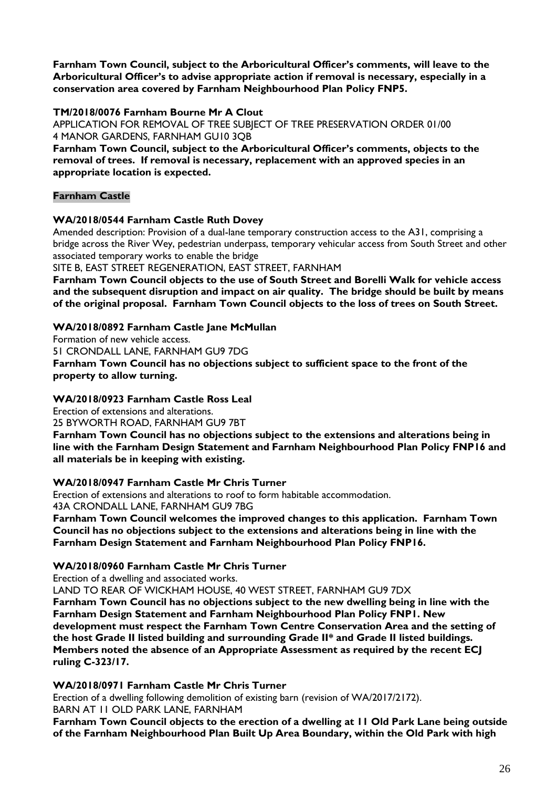**Farnham Town Council, subject to the Arboricultural Officer's comments, will leave to the Arboricultural Officer's to advise appropriate action if removal is necessary, especially in a conservation area covered by Farnham Neighbourhood Plan Policy FNP5.**

#### **TM/2018/0076 Farnham Bourne Mr A Clout**

APPLICATION FOR REMOVAL OF TREE SUBJECT OF TREE PRESERVATION ORDER 01/00 4 MANOR GARDENS, FARNHAM GU10 3QB

**Farnham Town Council, subject to the Arboricultural Officer's comments, objects to the removal of trees. If removal is necessary, replacement with an approved species in an appropriate location is expected.**

#### **Farnham Castle**

#### **WA/2018/0544 Farnham Castle Ruth Dovey**

Amended description: Provision of a dual-lane temporary construction access to the A31, comprising a bridge across the River Wey, pedestrian underpass, temporary vehicular access from South Street and other associated temporary works to enable the bridge

SITE B, EAST STREET REGENERATION, EAST STREET, FARNHAM

**Farnham Town Council objects to the use of South Street and Borelli Walk for vehicle access and the subsequent disruption and impact on air quality. The bridge should be built by means of the original proposal. Farnham Town Council objects to the loss of trees on South Street.** 

#### **WA/2018/0892 Farnham Castle Jane McMullan**

Formation of new vehicle access. 51 CRONDALL LANE, FARNHAM GU9 7DG

**Farnham Town Council has no objections subject to sufficient space to the front of the property to allow turning.**

#### **WA/2018/0923 Farnham Castle Ross Leal**

Erection of extensions and alterations. 25 BYWORTH ROAD, FARNHAM GU9 7BT **Farnham Town Council has no objections subject to the extensions and alterations being in line with the Farnham Design Statement and Farnham Neighbourhood Plan Policy FNP16 and all materials be in keeping with existing.**

#### **WA/2018/0947 Farnham Castle Mr Chris Turner**

Erection of extensions and alterations to roof to form habitable accommodation. 43A CRONDALL LANE, FARNHAM GU9 7BG

**Farnham Town Council welcomes the improved changes to this application. Farnham Town Council has no objections subject to the extensions and alterations being in line with the Farnham Design Statement and Farnham Neighbourhood Plan Policy FNP16.**

#### **WA/2018/0960 Farnham Castle Mr Chris Turner**

Erection of a dwelling and associated works.

LAND TO REAR OF WICKHAM HOUSE, 40 WEST STREET, FARNHAM GU9 7DX

**Farnham Town Council has no objections subject to the new dwelling being in line with the Farnham Design Statement and Farnham Neighbourhood Plan Policy FNP1. New development must respect the Farnham Town Centre Conservation Area and the setting of the host Grade II listed building and surrounding Grade II\* and Grade II listed buildings. Members noted the absence of an Appropriate Assessment as required by the recent ECJ ruling C-323/17.**

#### **WA/2018/0971 Farnham Castle Mr Chris Turner**

Erection of a dwelling following demolition of existing barn (revision of WA/2017/2172). BARN AT 11 OLD PARK LANE, FARNHAM

**Farnham Town Council objects to the erection of a dwelling at 11 Old Park Lane being outside of the Farnham Neighbourhood Plan Built Up Area Boundary, within the Old Park with high**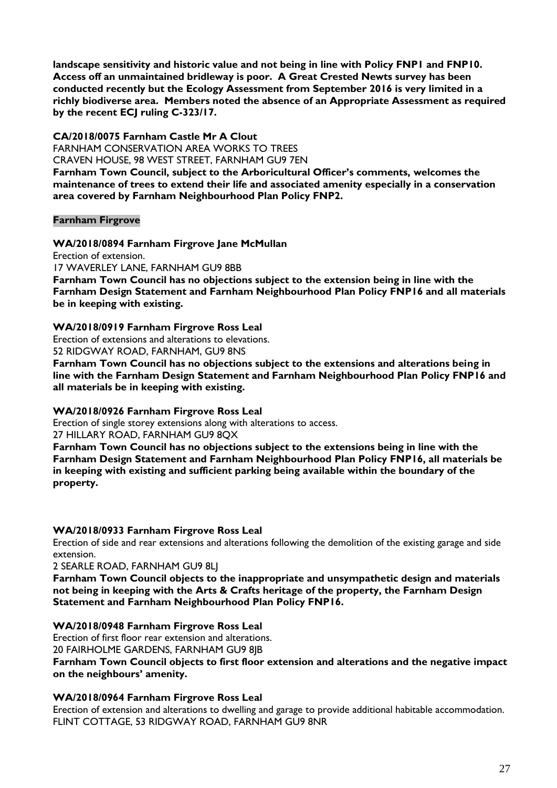**landscape sensitivity and historic value and not being in line with Policy FNP1 and FNP10. Access off an unmaintained bridleway is poor. A Great Crested Newts survey has been conducted recently but the Ecology Assessment from September 2016 is very limited in a richly biodiverse area. Members noted the absence of an Appropriate Assessment as required by the recent ECJ ruling C-323/17.**

#### **CA/2018/0075 Farnham Castle Mr A Clout**

FARNHAM CONSERVATION AREA WORKS TO TREES CRAVEN HOUSE, 98 WEST STREET, FARNHAM GU9 7EN

**Farnham Town Council, subject to the Arboricultural Officer's comments, welcomes the maintenance of trees to extend their life and associated amenity especially in a conservation area covered by Farnham Neighbourhood Plan Policy FNP2.**

#### **Farnham Firgrove**

#### **WA/2018/0894 Farnham Firgrove Jane McMullan**

Erection of extension. 17 WAVERLEY LANE, FARNHAM GU9 8BB **Farnham Town Council has no objections subject to the extension being in line with the Farnham Design Statement and Farnham Neighbourhood Plan Policy FNP16 and all materials be in keeping with existing.**

#### **WA/2018/0919 Farnham Firgrove Ross Leal**

Erection of extensions and alterations to elevations.

52 RIDGWAY ROAD, FARNHAM, GU9 8NS

**Farnham Town Council has no objections subject to the extensions and alterations being in line with the Farnham Design Statement and Farnham Neighbourhood Plan Policy FNP16 and all materials be in keeping with existing.**

#### **WA/2018/0926 Farnham Firgrove Ross Leal**

Erection of single storey extensions along with alterations to access. 27 HILLARY ROAD, FARNHAM GU9 8QX

**Farnham Town Council has no objections subject to the extensions being in line with the Farnham Design Statement and Farnham Neighbourhood Plan Policy FNP16, all materials be in keeping with existing and sufficient parking being available within the boundary of the property.**

#### **WA/2018/0933 Farnham Firgrove Ross Leal**

Erection of side and rear extensions and alterations following the demolition of the existing garage and side extension.

2 SEARLE ROAD, FARNHAM GU9 8LJ

**Farnham Town Council objects to the inappropriate and unsympathetic design and materials not being in keeping with the Arts & Crafts heritage of the property, the Farnham Design Statement and Farnham Neighbourhood Plan Policy FNP16.**

#### **WA/2018/0948 Farnham Firgrove Ross Leal**

Erection of first floor rear extension and alterations.

20 FAIRHOLME GARDENS, FARNHAM GU9 8JB

#### **Farnham Town Council objects to first floor extension and alterations and the negative impact on the neighbours' amenity.**

#### **WA/2018/0964 Farnham Firgrove Ross Leal**

Erection of extension and alterations to dwelling and garage to provide additional habitable accommodation. FLINT COTTAGE, 53 RIDGWAY ROAD, FARNHAM GU9 8NR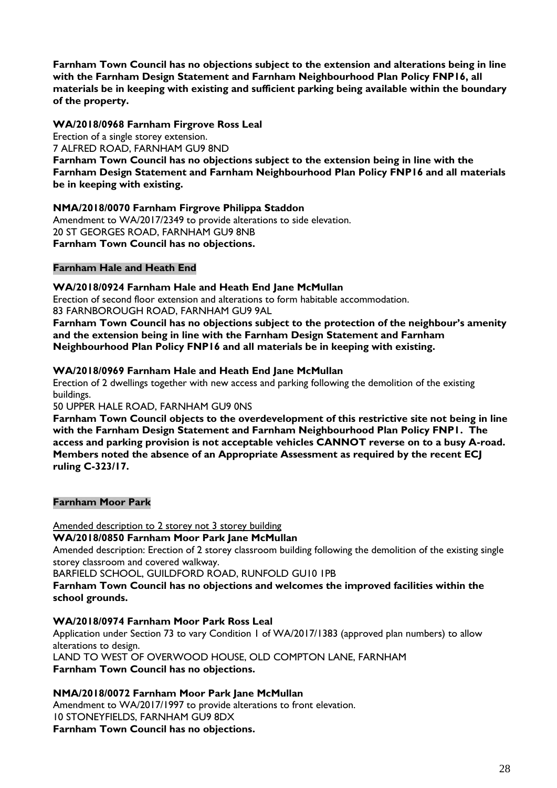**Farnham Town Council has no objections subject to the extension and alterations being in line with the Farnham Design Statement and Farnham Neighbourhood Plan Policy FNP16, all materials be in keeping with existing and sufficient parking being available within the boundary of the property.**

#### **WA/2018/0968 Farnham Firgrove Ross Leal**

Erection of a single storey extension. 7 ALFRED ROAD, FARNHAM GU9 8ND **Farnham Town Council has no objections subject to the extension being in line with the Farnham Design Statement and Farnham Neighbourhood Plan Policy FNP16 and all materials be in keeping with existing.**

#### **NMA/2018/0070 Farnham Firgrove Philippa Staddon**

Amendment to WA/2017/2349 to provide alterations to side elevation. 20 ST GEORGES ROAD, FARNHAM GU9 8NB **Farnham Town Council has no objections.**

#### **Farnham Hale and Heath End**

#### **WA/2018/0924 Farnham Hale and Heath End Jane McMullan**

Erection of second floor extension and alterations to form habitable accommodation. 83 FARNBOROUGH ROAD, FARNHAM GU9 9AL

**Farnham Town Council has no objections subject to the protection of the neighbour's amenity and the extension being in line with the Farnham Design Statement and Farnham Neighbourhood Plan Policy FNP16 and all materials be in keeping with existing.**

#### **WA/2018/0969 Farnham Hale and Heath End Jane McMullan**

Erection of 2 dwellings together with new access and parking following the demolition of the existing buildings.

#### 50 UPPER HALE ROAD, FARNHAM GU9 0NS

**Farnham Town Council objects to the overdevelopment of this restrictive site not being in line with the Farnham Design Statement and Farnham Neighbourhood Plan Policy FNP1. The access and parking provision is not acceptable vehicles CANNOT reverse on to a busy A-road. Members noted the absence of an Appropriate Assessment as required by the recent ECJ ruling C-323/17.**

#### **Farnham Moor Park**

Amended description to 2 storey not 3 storey building

#### **WA/2018/0850 Farnham Moor Park Jane McMullan**

Amended description: Erection of 2 storey classroom building following the demolition of the existing single storey classroom and covered walkway.

BARFIELD SCHOOL, GUILDFORD ROAD, RUNFOLD GU10 1PB

**Farnham Town Council has no objections and welcomes the improved facilities within the school grounds.**

#### **WA/2018/0974 Farnham Moor Park Ross Leal**

Application under Section 73 to vary Condition 1 of WA/2017/1383 (approved plan numbers) to allow alterations to design.

LAND TO WEST OF OVERWOOD HOUSE, OLD COMPTON LANE, FARNHAM

**Farnham Town Council has no objections.**

#### **NMA/2018/0072 Farnham Moor Park Jane McMullan**

Amendment to WA/2017/1997 to provide alterations to front elevation. 10 STONEYFIELDS, FARNHAM GU9 8DX **Farnham Town Council has no objections.**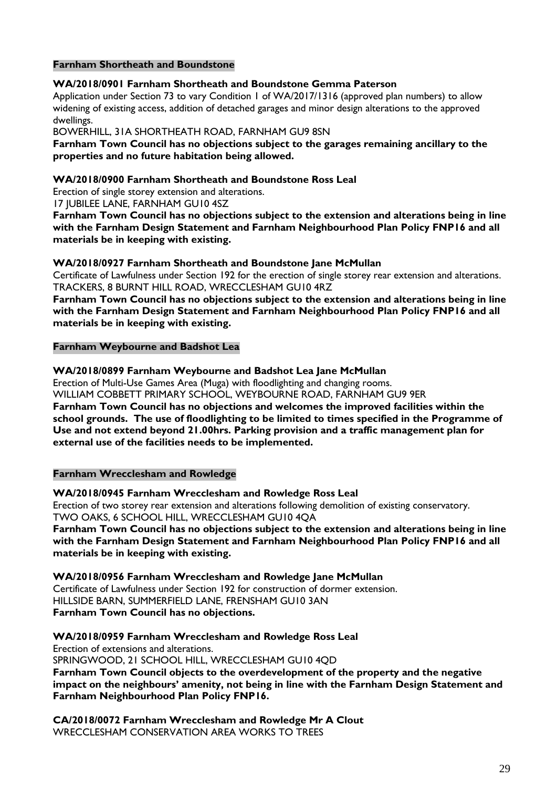#### **Farnham Shortheath and Boundstone**

#### **WA/2018/0901 Farnham Shortheath and Boundstone Gemma Paterson**

Application under Section 73 to vary Condition 1 of WA/2017/1316 (approved plan numbers) to allow widening of existing access, addition of detached garages and minor design alterations to the approved dwellings.

BOWERHILL, 31A SHORTHEATH ROAD, FARNHAM GU9 8SN

**Farnham Town Council has no objections subject to the garages remaining ancillary to the properties and no future habitation being allowed.**

#### **WA/2018/0900 Farnham Shortheath and Boundstone Ross Leal**

Erection of single storey extension and alterations.

17 JUBILEE LANE, FARNHAM GU10 4SZ

**Farnham Town Council has no objections subject to the extension and alterations being in line with the Farnham Design Statement and Farnham Neighbourhood Plan Policy FNP16 and all materials be in keeping with existing.**

#### **WA/2018/0927 Farnham Shortheath and Boundstone Jane McMullan**

Certificate of Lawfulness under Section 192 for the erection of single storey rear extension and alterations. TRACKERS, 8 BURNT HILL ROAD, WRECCLESHAM GU10 4RZ

**Farnham Town Council has no objections subject to the extension and alterations being in line with the Farnham Design Statement and Farnham Neighbourhood Plan Policy FNP16 and all materials be in keeping with existing.**

#### **Farnham Weybourne and Badshot Lea**

#### **WA/2018/0899 Farnham Weybourne and Badshot Lea Jane McMullan**

Erection of Multi-Use Games Area (Muga) with floodlighting and changing rooms. WILLIAM COBBETT PRIMARY SCHOOL, WEYBOURNE ROAD, FARNHAM GU9 9ER **Farnham Town Council has no objections and welcomes the improved facilities within the school grounds. The use of floodlighting to be limited to times specified in the Programme of Use and not extend beyond 21.00hrs. Parking provision and a traffic management plan for external use of the facilities needs to be implemented.**

**Farnham Wrecclesham and Rowledge**

**WA/2018/0945 Farnham Wrecclesham and Rowledge Ross Leal** Erection of two storey rear extension and alterations following demolition of existing conservatory. TWO OAKS, 6 SCHOOL HILL, WRECCLESHAM GU10 4QA **Farnham Town Council has no objections subject to the extension and alterations being in line** 

**with the Farnham Design Statement and Farnham Neighbourhood Plan Policy FNP16 and all materials be in keeping with existing.**

**WA/2018/0956 Farnham Wrecclesham and Rowledge Jane McMullan** Certificate of Lawfulness under Section 192 for construction of dormer extension. HILLSIDE BARN, SUMMERFIELD LANE, FRENSHAM GU10 3AN **Farnham Town Council has no objections.**

**WA/2018/0959 Farnham Wrecclesham and Rowledge Ross Leal**

Erection of extensions and alterations. SPRINGWOOD, 21 SCHOOL HILL, WRECCLESHAM GU10 4QD **Farnham Town Council objects to the overdevelopment of the property and the negative impact on the neighbours' amenity, not being in line with the Farnham Design Statement and Farnham Neighbourhood Plan Policy FNP16.**

**CA/2018/0072 Farnham Wrecclesham and Rowledge Mr A Clout** WRECCLESHAM CONSERVATION AREA WORKS TO TREES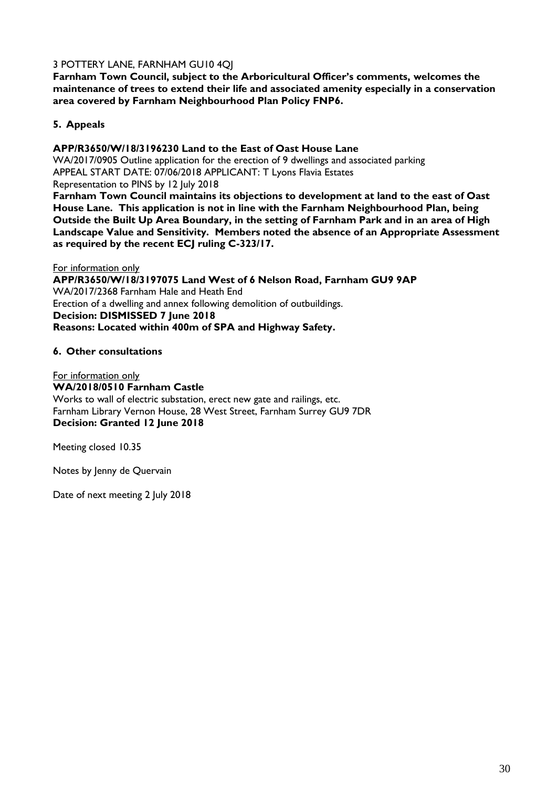#### 3 POTTERY LANE, FARNHAM GU10 4QJ

**Farnham Town Council, subject to the Arboricultural Officer's comments, welcomes the maintenance of trees to extend their life and associated amenity especially in a conservation area covered by Farnham Neighbourhood Plan Policy FNP6.**

#### **5. Appeals**

#### **APP/R3650/W/18/3196230 Land to the East of Oast House Lane**

WA/2017/0905 Outline application for the erection of 9 dwellings and associated parking APPEAL START DATE: 07/06/2018 APPLICANT: T Lyons Flavia Estates Representation to PINS by 12 July 2018

**Farnham Town Council maintains its objections to development at land to the east of Oast House Lane. This application is not in line with the Farnham Neighbourhood Plan, being Outside the Built Up Area Boundary, in the setting of Farnham Park and in an area of High Landscape Value and Sensitivity. Members noted the absence of an Appropriate Assessment as required by the recent ECJ ruling C-323/17.**

For information only **APP/R3650/W/18/3197075 Land West of 6 Nelson Road, Farnham GU9 9AP** WA/2017/2368 Farnham Hale and Heath End Erection of a dwelling and annex following demolition of outbuildings. **Decision: DISMISSED 7 June 2018 Reasons: Located within 400m of SPA and Highway Safety.**

#### **6. Other consultations**

For information only **WA/2018/0510 Farnham Castle** Works to wall of electric substation, erect new gate and railings, etc. Farnham Library Vernon House, 28 West Street, Farnham Surrey GU9 7DR **Decision: Granted 12 June 2018**

Meeting closed 10.35

Notes by Jenny de Quervain

Date of next meeting 2 July 2018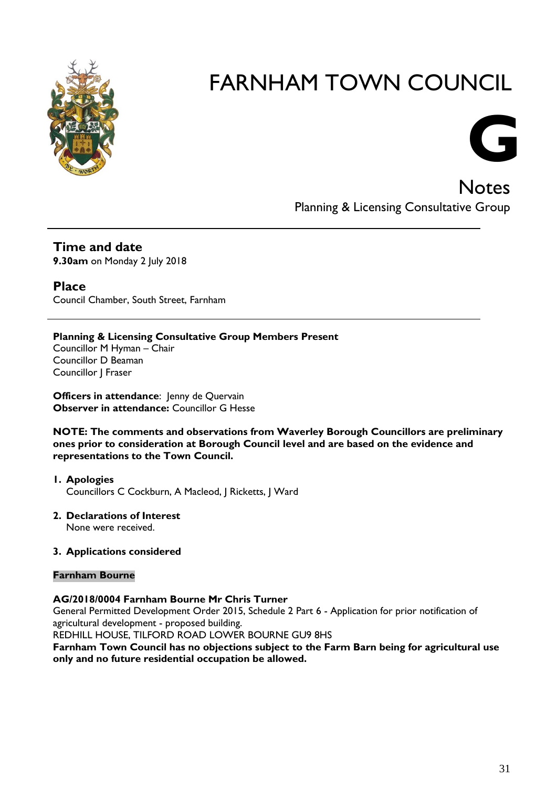



**Notes** Planning & Licensing Consultative Group

**Time and date 9.30am** on Monday 2 July 2018

**Place** Council Chamber, South Street, Farnham

#### **Planning & Licensing Consultative Group Members Present**

Councillor M Hyman – Chair Councillor D Beaman Councillor J Fraser

**Officers in attendance:** Jenny de Quervain **Observer in attendance:** Councillor G Hesse

**NOTE: The comments and observations from Waverley Borough Councillors are preliminary ones prior to consideration at Borough Council level and are based on the evidence and representations to the Town Council.**

**1. Apologies** Councillors C Cockburn, A Macleod, J Ricketts, J Ward

**2. Declarations of Interest** None were received.

#### **3. Applications considered**

#### **Farnham Bourne**

#### **AG/2018/0004 Farnham Bourne Mr Chris Turner**

General Permitted Development Order 2015, Schedule 2 Part 6 - Application for prior notification of agricultural development - proposed building.

REDHILL HOUSE, TILFORD ROAD LOWER BOURNE GU9 8HS

**Farnham Town Council has no objections subject to the Farm Barn being for agricultural use only and no future residential occupation be allowed.**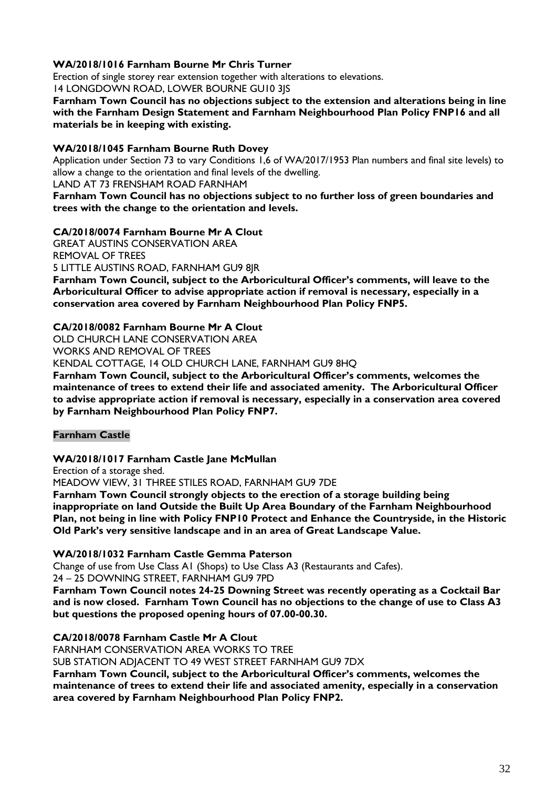#### **WA/2018/1016 Farnham Bourne Mr Chris Turner**

Erection of single storey rear extension together with alterations to elevations.

14 LONGDOWN ROAD, LOWER BOURNE GU10 3JS

**Farnham Town Council has no objections subject to the extension and alterations being in line with the Farnham Design Statement and Farnham Neighbourhood Plan Policy FNP16 and all materials be in keeping with existing.**

#### **WA/2018/1045 Farnham Bourne Ruth Dovey**

Application under Section 73 to vary Conditions 1,6 of WA/2017/1953 Plan numbers and final site levels) to allow a change to the orientation and final levels of the dwelling.

LAND AT 73 FRENSHAM ROAD FARNHAM

**Farnham Town Council has no objections subject to no further loss of green boundaries and trees with the change to the orientation and levels.**

#### **CA/2018/0074 Farnham Bourne Mr A Clout**

GREAT AUSTINS CONSERVATION AREA REMOVAL OF TREES

5 LITTLE AUSTINS ROAD, FARNHAM GU9 8JR

**Farnham Town Council, subject to the Arboricultural Officer's comments, will leave to the Arboricultural Officer to advise appropriate action if removal is necessary, especially in a conservation area covered by Farnham Neighbourhood Plan Policy FNP5.**

#### **CA/2018/0082 Farnham Bourne Mr A Clout**

OLD CHURCH LANE CONSERVATION AREA

WORKS AND REMOVAL OF TREES

KENDAL COTTAGE, 14 OLD CHURCH LANE, FARNHAM GU9 8HQ

**Farnham Town Council, subject to the Arboricultural Officer's comments, welcomes the maintenance of trees to extend their life and associated amenity. The Arboricultural Officer to advise appropriate action if removal is necessary, especially in a conservation area covered by Farnham Neighbourhood Plan Policy FNP7.**

#### **Farnham Castle**

#### **WA/2018/1017 Farnham Castle Jane McMullan**

Erection of a storage shed.

MEADOW VIEW, 31 THREE STILES ROAD, FARNHAM GU9 7DE

**Farnham Town Council strongly objects to the erection of a storage building being inappropriate on land Outside the Built Up Area Boundary of the Farnham Neighbourhood Plan, not being in line with Policy FNP10 Protect and Enhance the Countryside, in the Historic Old Park's very sensitive landscape and in an area of Great Landscape Value.**

#### **WA/2018/1032 Farnham Castle Gemma Paterson**

Change of use from Use Class A1 (Shops) to Use Class A3 (Restaurants and Cafes).

#### 24 – 25 DOWNING STREET, FARNHAM GU9 7PD

**Farnham Town Council notes 24-25 Downing Street was recently operating as a Cocktail Bar and is now closed. Farnham Town Council has no objections to the change of use to Class A3 but questions the proposed opening hours of 07.00-00.30.**

#### **CA/2018/0078 Farnham Castle Mr A Clout**

FARNHAM CONSERVATION AREA WORKS TO TREE

SUB STATION ADJACENT TO 49 WEST STREET FARNHAM GU9 7DX

**Farnham Town Council, subject to the Arboricultural Officer's comments, welcomes the maintenance of trees to extend their life and associated amenity, especially in a conservation area covered by Farnham Neighbourhood Plan Policy FNP2.**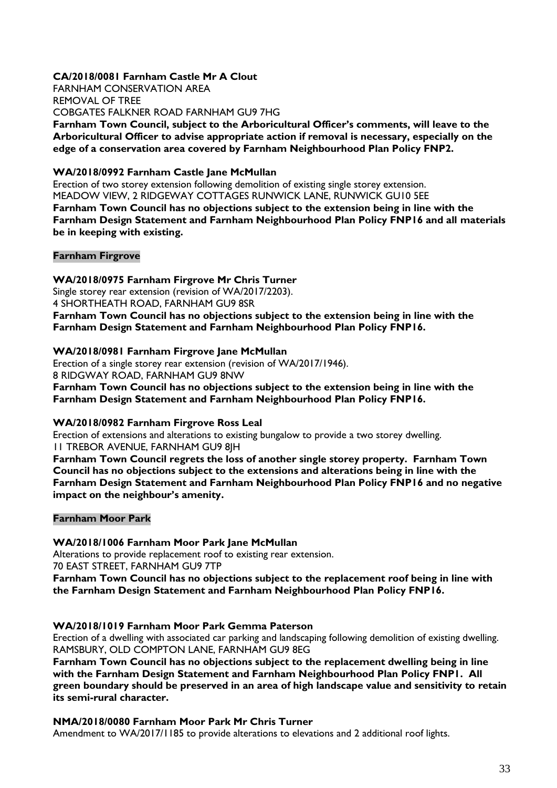#### **CA/2018/0081 Farnham Castle Mr A Clout**

FARNHAM CONSERVATION AREA REMOVAL OF TREE COBGATES FALKNER ROAD FARNHAM GU9 7HG **Farnham Town Council, subject to the Arboricultural Officer's comments, will leave to the Arboricultural Officer to advise appropriate action if removal is necessary, especially on the edge of a conservation area covered by Farnham Neighbourhood Plan Policy FNP2.**

#### **WA/2018/0992 Farnham Castle Jane McMullan**

Erection of two storey extension following demolition of existing single storey extension. MEADOW VIEW, 2 RIDGEWAY COTTAGES RUNWICK LANE, RUNWICK GU10 5EE **Farnham Town Council has no objections subject to the extension being in line with the Farnham Design Statement and Farnham Neighbourhood Plan Policy FNP16 and all materials be in keeping with existing.**

#### **Farnham Firgrove**

**WA/2018/0975 Farnham Firgrove Mr Chris Turner** Single storey rear extension (revision of WA/2017/2203). 4 SHORTHEATH ROAD, FARNHAM GU9 8SR **Farnham Town Council has no objections subject to the extension being in line with the Farnham Design Statement and Farnham Neighbourhood Plan Policy FNP16.**

#### **WA/2018/0981 Farnham Firgrove Jane McMullan**

Erection of a single storey rear extension (revision of WA/2017/1946). 8 RIDGWAY ROAD, FARNHAM GU9 8NW

**Farnham Town Council has no objections subject to the extension being in line with the Farnham Design Statement and Farnham Neighbourhood Plan Policy FNP16.**

#### **WA/2018/0982 Farnham Firgrove Ross Leal**

Erection of extensions and alterations to existing bungalow to provide a two storey dwelling. 11 TREBOR AVENUE, FARNHAM GU9 8JH

**Farnham Town Council regrets the loss of another single storey property. Farnham Town Council has no objections subject to the extensions and alterations being in line with the Farnham Design Statement and Farnham Neighbourhood Plan Policy FNP16 and no negative impact on the neighbour's amenity.**

#### **Farnham Moor Park**

**WA/2018/1006 Farnham Moor Park Jane McMullan**

Alterations to provide replacement roof to existing rear extension. 70 EAST STREET, FARNHAM GU9 7TP

**Farnham Town Council has no objections subject to the replacement roof being in line with the Farnham Design Statement and Farnham Neighbourhood Plan Policy FNP16.**

#### **WA/2018/1019 Farnham Moor Park Gemma Paterson**

Erection of a dwelling with associated car parking and landscaping following demolition of existing dwelling. RAMSBURY, OLD COMPTON LANE, FARNHAM GU9 8EG

**Farnham Town Council has no objections subject to the replacement dwelling being in line with the Farnham Design Statement and Farnham Neighbourhood Plan Policy FNP1. All green boundary should be preserved in an area of high landscape value and sensitivity to retain its semi-rural character.**

#### **NMA/2018/0080 Farnham Moor Park Mr Chris Turner**

Amendment to WA/2017/1185 to provide alterations to elevations and 2 additional roof lights.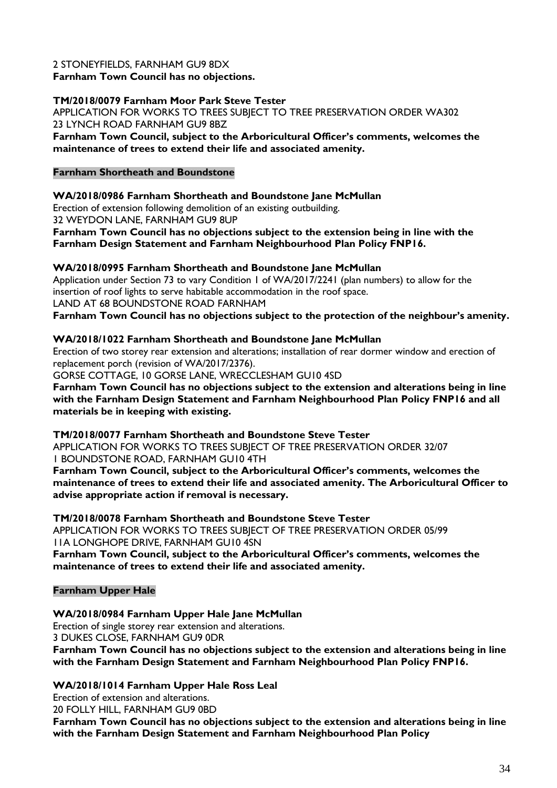#### 2 STONEYFIELDS, FARNHAM GU9 8DX

**Farnham Town Council has no objections.**

#### **TM/2018/0079 Farnham Moor Park Steve Tester**

APPLICATION FOR WORKS TO TREES SUBJECT TO TREE PRESERVATION ORDER WA302 23 LYNCH ROAD FARNHAM GU9 8BZ

**Farnham Town Council, subject to the Arboricultural Officer's comments, welcomes the maintenance of trees to extend their life and associated amenity.**

#### **Farnham Shortheath and Boundstone**

#### **WA/2018/0986 Farnham Shortheath and Boundstone Jane McMullan**

Erection of extension following demolition of an existing outbuilding. 32 WEYDON LANE, FARNHAM GU9 8UP

**Farnham Town Council has no objections subject to the extension being in line with the Farnham Design Statement and Farnham Neighbourhood Plan Policy FNP16.**

#### **WA/2018/0995 Farnham Shortheath and Boundstone Jane McMullan**

Application under Section 73 to vary Condition 1 of WA/2017/2241 (plan numbers) to allow for the insertion of roof lights to serve habitable accommodation in the roof space. LAND AT 68 BOUNDSTONE ROAD FARNHAM **Farnham Town Council has no objections subject to the protection of the neighbour's amenity.**

#### **WA/2018/1022 Farnham Shortheath and Boundstone Jane McMullan**

Erection of two storey rear extension and alterations; installation of rear dormer window and erection of replacement porch (revision of WA/2017/2376).

GORSE COTTAGE, 10 GORSE LANE, WRECCLESHAM GU10 4SD

**Farnham Town Council has no objections subject to the extension and alterations being in line with the Farnham Design Statement and Farnham Neighbourhood Plan Policy FNP16 and all materials be in keeping with existing.**

**TM/2018/0077 Farnham Shortheath and Boundstone Steve Tester**

APPLICATION FOR WORKS TO TREES SUBJECT OF TREE PRESERVATION ORDER 32/07 1 BOUNDSTONE ROAD, FARNHAM GU10 4TH

**Farnham Town Council, subject to the Arboricultural Officer's comments, welcomes the maintenance of trees to extend their life and associated amenity. The Arboricultural Officer to advise appropriate action if removal is necessary.**

**TM/2018/0078 Farnham Shortheath and Boundstone Steve Tester**

APPLICATION FOR WORKS TO TREES SUBJECT OF TREE PRESERVATION ORDER 05/99 11A LONGHOPE DRIVE, FARNHAM GU10 4SN

**Farnham Town Council, subject to the Arboricultural Officer's comments, welcomes the maintenance of trees to extend their life and associated amenity.**

#### **Farnham Upper Hale**

#### **WA/2018/0984 Farnham Upper Hale Jane McMullan**

Erection of single storey rear extension and alterations. 3 DUKES CLOSE, FARNHAM GU9 0DR

**Farnham Town Council has no objections subject to the extension and alterations being in line with the Farnham Design Statement and Farnham Neighbourhood Plan Policy FNP16.**

#### **WA/2018/1014 Farnham Upper Hale Ross Leal**

Erection of extension and alterations.

20 FOLLY HILL, FARNHAM GU9 0BD

**Farnham Town Council has no objections subject to the extension and alterations being in line with the Farnham Design Statement and Farnham Neighbourhood Plan Policy**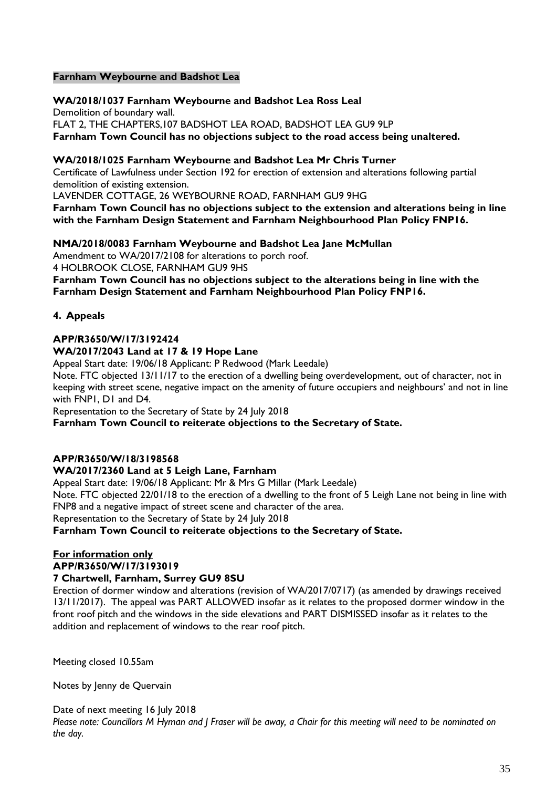#### **Farnham Weybourne and Badshot Lea**

**WA/2018/1037 Farnham Weybourne and Badshot Lea Ross Leal** Demolition of boundary wall. FLAT 2, THE CHAPTERS,107 BADSHOT LEA ROAD, BADSHOT LEA GU9 9LP **Farnham Town Council has no objections subject to the road access being unaltered.**

#### **WA/2018/1025 Farnham Weybourne and Badshot Lea Mr Chris Turner**

Certificate of Lawfulness under Section 192 for erection of extension and alterations following partial demolition of existing extension.

LAVENDER COTTAGE, 26 WEYBOURNE ROAD, FARNHAM GU9 9HG

**Farnham Town Council has no objections subject to the extension and alterations being in line with the Farnham Design Statement and Farnham Neighbourhood Plan Policy FNP16.**

#### **NMA/2018/0083 Farnham Weybourne and Badshot Lea Jane McMullan**

Amendment to WA/2017/2108 for alterations to porch roof. 4 HOLBROOK CLOSE, FARNHAM GU9 9HS

**Farnham Town Council has no objections subject to the alterations being in line with the Farnham Design Statement and Farnham Neighbourhood Plan Policy FNP16.**

#### **4. Appeals**

#### **APP/R3650/W/17/3192424**

#### **WA/2017/2043 Land at 17 & 19 Hope Lane**

Appeal Start date: 19/06/18 Applicant: P Redwood (Mark Leedale)

Note. FTC objected 13/11/17 to the erection of a dwelling being overdevelopment, out of character, not in keeping with street scene, negative impact on the amenity of future occupiers and neighbours' and not in line with FNP1, D1 and D4.

Representation to the Secretary of State by 24 July 2018

**Farnham Town Council to reiterate objections to the Secretary of State.**

#### **APP/R3650/W/18/3198568**

#### **WA/2017/2360 Land at 5 Leigh Lane, Farnham**

Appeal Start date: 19/06/18 Applicant: Mr & Mrs G Millar (Mark Leedale) Note. FTC objected 22/01/18 to the erection of a dwelling to the front of 5 Leigh Lane not being in line with FNP8 and a negative impact of street scene and character of the area. Representation to the Secretary of State by 24 July 2018

#### **Farnham Town Council to reiterate objections to the Secretary of State.**

#### **For information only APP/R3650/W/17/3193019**

#### **7 Chartwell, Farnham, Surrey GU9 8SU**

Erection of dormer window and alterations (revision of WA/2017/0717) (as amended by drawings received 13/11/2017). The appeal was PART ALLOWED insofar as it relates to the proposed dormer window in the front roof pitch and the windows in the side elevations and PART DISMISSED insofar as it relates to the addition and replacement of windows to the rear roof pitch.

Meeting closed 10.55am

Notes by Jenny de Quervain

Date of next meeting 16 July 2018 *Please note: Councillors M Hyman and J Fraser will be away, a Chair for this meeting will need to be nominated on the day.*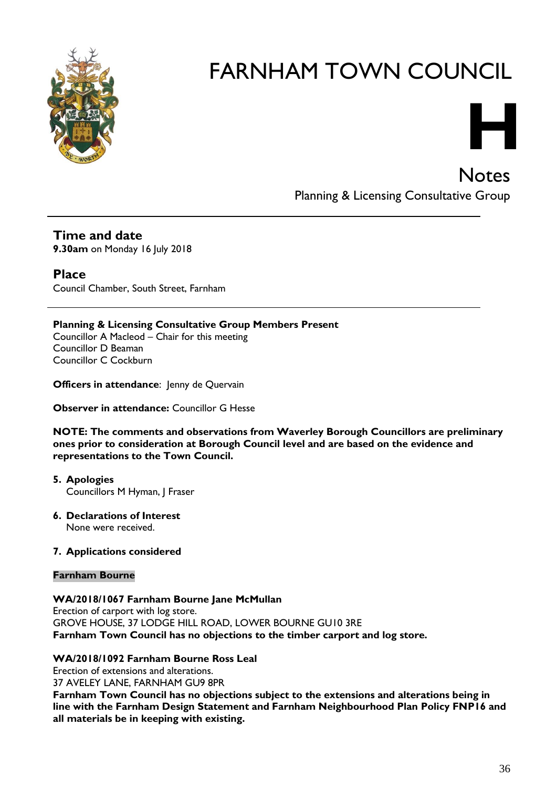

# **H**

**Notes** Planning & Licensing Consultative Group

### **Time and date**

**9.30am** on Monday 16 July 2018

### **Place**

Council Chamber, South Street, Farnham

#### **Planning & Licensing Consultative Group Members Present**

Councillor A Macleod – Chair for this meeting Councillor D Beaman Councillor C Cockburn

**Officers in attendance: Jenny de Quervain** 

**Observer in attendance:** Councillor G Hesse

**NOTE: The comments and observations from Waverley Borough Councillors are preliminary ones prior to consideration at Borough Council level and are based on the evidence and representations to the Town Council.**

- **5. Apologies** Councillors M Hyman, J Fraser
- **6. Declarations of Interest** None were received.

#### **7. Applications considered**

#### **Farnham Bourne**

#### **WA/2018/1067 Farnham Bourne Jane McMullan**

Erection of carport with log store. GROVE HOUSE, 37 LODGE HILL ROAD, LOWER BOURNE GU10 3RE **Farnham Town Council has no objections to the timber carport and log store.**

#### **WA/2018/1092 Farnham Bourne Ross Leal**

Erection of extensions and alterations. 37 AVELEY LANE, FARNHAM GU9 8PR **Farnham Town Council has no objections subject to the extensions and alterations being in line with the Farnham Design Statement and Farnham Neighbourhood Plan Policy FNP16 and all materials be in keeping with existing.**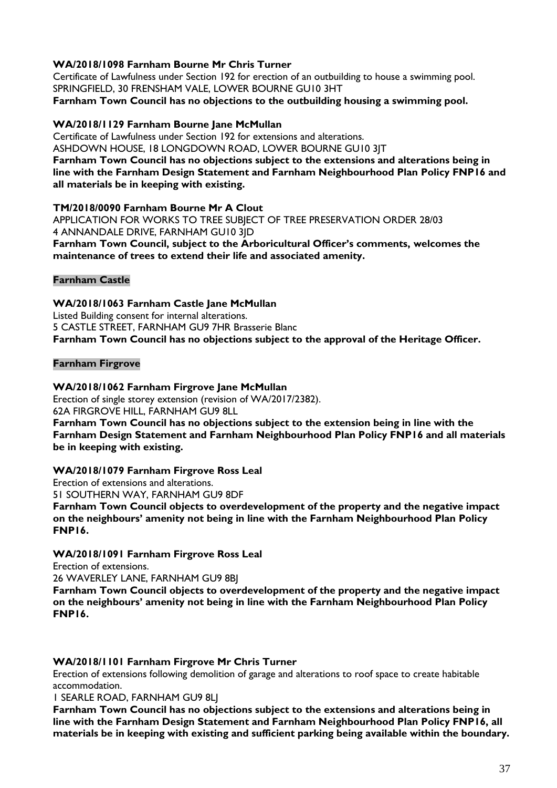#### **WA/2018/1098 Farnham Bourne Mr Chris Turner**

Certificate of Lawfulness under Section 192 for erection of an outbuilding to house a swimming pool. SPRINGFIELD, 30 FRENSHAM VALE, LOWER BOURNE GU10 3HT **Farnham Town Council has no objections to the outbuilding housing a swimming pool.**

#### **WA/2018/1129 Farnham Bourne Jane McMullan**

Certificate of Lawfulness under Section 192 for extensions and alterations. ASHDOWN HOUSE, 18 LONGDOWN ROAD, LOWER BOURNE GU10 3JT **Farnham Town Council has no objections subject to the extensions and alterations being in line with the Farnham Design Statement and Farnham Neighbourhood Plan Policy FNP16 and** 

#### **all materials be in keeping with existing.**

#### **TM/2018/0090 Farnham Bourne Mr A Clout**

APPLICATION FOR WORKS TO TREE SUBJECT OF TREE PRESERVATION ORDER 28/03 4 ANNANDALE DRIVE, FARNHAM GU10 3JD **Farnham Town Council, subject to the Arboricultural Officer's comments, welcomes the maintenance of trees to extend their life and associated amenity.**

#### **Farnham Castle**

**WA/2018/1063 Farnham Castle Jane McMullan** Listed Building consent for internal alterations. 5 CASTLE STREET, FARNHAM GU9 7HR Brasserie Blanc **Farnham Town Council has no objections subject to the approval of the Heritage Officer.**

#### **Farnham Firgrove**

#### **WA/2018/1062 Farnham Firgrove Jane McMullan**

Erection of single storey extension (revision of WA/2017/2382). 62A FIRGROVE HILL, FARNHAM GU9 8LL

**Farnham Town Council has no objections subject to the extension being in line with the Farnham Design Statement and Farnham Neighbourhood Plan Policy FNP16 and all materials be in keeping with existing.**

#### **WA/2018/1079 Farnham Firgrove Ross Leal**

Erection of extensions and alterations.

51 SOUTHERN WAY, FARNHAM GU9 8DF

**Farnham Town Council objects to overdevelopment of the property and the negative impact on the neighbours' amenity not being in line with the Farnham Neighbourhood Plan Policy FNP16.**

#### **WA/2018/1091 Farnham Firgrove Ross Leal**

Erection of extensions.

26 WAVERLEY LANE, FARNHAM GU9 8BJ

**Farnham Town Council objects to overdevelopment of the property and the negative impact on the neighbours' amenity not being in line with the Farnham Neighbourhood Plan Policy FNP16.**

#### **WA/2018/1101 Farnham Firgrove Mr Chris Turner**

Erection of extensions following demolition of garage and alterations to roof space to create habitable accommodation.

1 SEARLE ROAD, FARNHAM GU9 8LJ

**Farnham Town Council has no objections subject to the extensions and alterations being in line with the Farnham Design Statement and Farnham Neighbourhood Plan Policy FNP16, all materials be in keeping with existing and sufficient parking being available within the boundary.**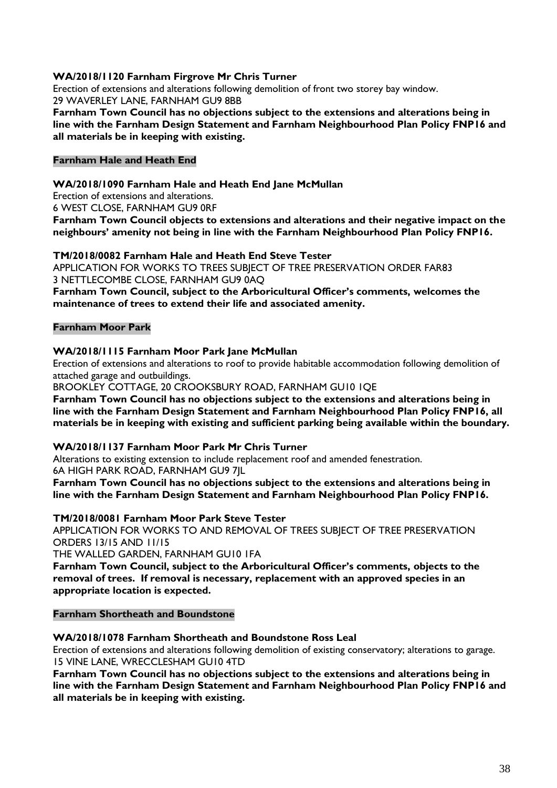#### **WA/2018/1120 Farnham Firgrove Mr Chris Turner**

Erection of extensions and alterations following demolition of front two storey bay window. 29 WAVERLEY LANE, FARNHAM GU9 8BB

**Farnham Town Council has no objections subject to the extensions and alterations being in line with the Farnham Design Statement and Farnham Neighbourhood Plan Policy FNP16 and all materials be in keeping with existing.**

#### **Farnham Hale and Heath End**

#### **WA/2018/1090 Farnham Hale and Heath End Jane McMullan**

Erection of extensions and alterations.

6 WEST CLOSE, FARNHAM GU9 0RF

**Farnham Town Council objects to extensions and alterations and their negative impact on the neighbours' amenity not being in line with the Farnham Neighbourhood Plan Policy FNP16.**

#### **TM/2018/0082 Farnham Hale and Heath End Steve Tester**

APPLICATION FOR WORKS TO TREES SUBJECT OF TREE PRESERVATION ORDER FAR83 3 NETTLECOMBE CLOSE, FARNHAM GU9 0AQ

**Farnham Town Council, subject to the Arboricultural Officer's comments, welcomes the maintenance of trees to extend their life and associated amenity.**

#### **Farnham Moor Park**

#### **WA/2018/1115 Farnham Moor Park Jane McMullan**

Erection of extensions and alterations to roof to provide habitable accommodation following demolition of attached garage and outbuildings.

BROOKLEY COTTAGE, 20 CROOKSBURY ROAD, FARNHAM GU10 1QE

**Farnham Town Council has no objections subject to the extensions and alterations being in line with the Farnham Design Statement and Farnham Neighbourhood Plan Policy FNP16, all materials be in keeping with existing and sufficient parking being available within the boundary.**

#### **WA/2018/1137 Farnham Moor Park Mr Chris Turner**

Alterations to existing extension to include replacement roof and amended fenestration. 6A HIGH PARK ROAD, FARNHAM GU9 7JL

**Farnham Town Council has no objections subject to the extensions and alterations being in line with the Farnham Design Statement and Farnham Neighbourhood Plan Policy FNP16.**

#### **TM/2018/0081 Farnham Moor Park Steve Tester**

APPLICATION FOR WORKS TO AND REMOVAL OF TREES SUBJECT OF TREE PRESERVATION ORDERS 13/15 AND 11/15

THE WALLED GARDEN, FARNHAM GU10 1FA

**Farnham Town Council, subject to the Arboricultural Officer's comments, objects to the removal of trees. If removal is necessary, replacement with an approved species in an appropriate location is expected.**

#### **Farnham Shortheath and Boundstone**

#### **WA/2018/1078 Farnham Shortheath and Boundstone Ross Leal**

Erection of extensions and alterations following demolition of existing conservatory; alterations to garage. 15 VINE LANE, WRECCLESHAM GU10 4TD

**Farnham Town Council has no objections subject to the extensions and alterations being in line with the Farnham Design Statement and Farnham Neighbourhood Plan Policy FNP16 and all materials be in keeping with existing.**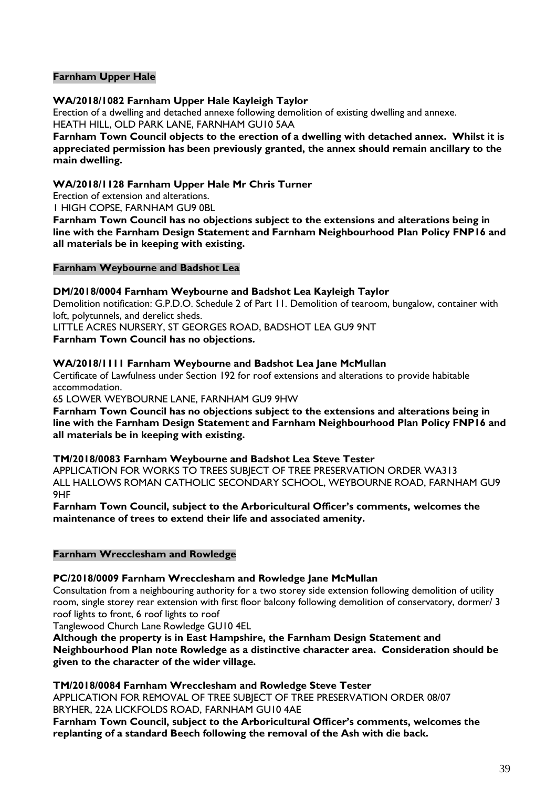#### **Farnham Upper Hale**

#### **WA/2018/1082 Farnham Upper Hale Kayleigh Taylor**

Erection of a dwelling and detached annexe following demolition of existing dwelling and annexe. HEATH HILL, OLD PARK LANE, FARNHAM GU10 5AA

**Farnham Town Council objects to the erection of a dwelling with detached annex. Whilst it is appreciated permission has been previously granted, the annex should remain ancillary to the main dwelling.**

#### **WA/2018/1128 Farnham Upper Hale Mr Chris Turner**

Erection of extension and alterations.

1 HIGH COPSE, FARNHAM GU9 0BL

**Farnham Town Council has no objections subject to the extensions and alterations being in line with the Farnham Design Statement and Farnham Neighbourhood Plan Policy FNP16 and all materials be in keeping with existing.**

#### **Farnham Weybourne and Badshot Lea**

#### **DM/2018/0004 Farnham Weybourne and Badshot Lea Kayleigh Taylor**

Demolition notification: G.P.D.O. Schedule 2 of Part 11. Demolition of tearoom, bungalow, container with loft, polytunnels, and derelict sheds.

LITTLE ACRES NURSERY, ST GEORGES ROAD, BADSHOT LEA GU9 9NT

**Farnham Town Council has no objections.**

#### **WA/2018/1111 Farnham Weybourne and Badshot Lea Jane McMullan**

Certificate of Lawfulness under Section 192 for roof extensions and alterations to provide habitable accommodation.

65 LOWER WEYBOURNE LANE, FARNHAM GU9 9HW

**Farnham Town Council has no objections subject to the extensions and alterations being in line with the Farnham Design Statement and Farnham Neighbourhood Plan Policy FNP16 and all materials be in keeping with existing.**

#### **TM/2018/0083 Farnham Weybourne and Badshot Lea Steve Tester**

APPLICATION FOR WORKS TO TREES SUBJECT OF TREE PRESERVATION ORDER WA313 ALL HALLOWS ROMAN CATHOLIC SECONDARY SCHOOL, WEYBOURNE ROAD, FARNHAM GU9 9HF

**Farnham Town Council, subject to the Arboricultural Officer's comments, welcomes the maintenance of trees to extend their life and associated amenity.**

#### **Farnham Wrecclesham and Rowledge**

#### **PC/2018/0009 Farnham Wrecclesham and Rowledge Jane McMullan**

Consultation from a neighbouring authority for a two storey side extension following demolition of utility room, single storey rear extension with first floor balcony following demolition of conservatory, dormer/ 3 roof lights to front, 6 roof lights to roof

Tanglewood Church Lane Rowledge GU10 4EL

**Although the property is in East Hampshire, the Farnham Design Statement and Neighbourhood Plan note Rowledge as a distinctive character area. Consideration should be given to the character of the wider village.** 

**TM/2018/0084 Farnham Wrecclesham and Rowledge Steve Tester**

APPLICATION FOR REMOVAL OF TREE SUBJECT OF TREE PRESERVATION ORDER 08/07 BRYHER, 22A LICKFOLDS ROAD, FARNHAM GU10 4AE

**Farnham Town Council, subject to the Arboricultural Officer's comments, welcomes the replanting of a standard Beech following the removal of the Ash with die back.**